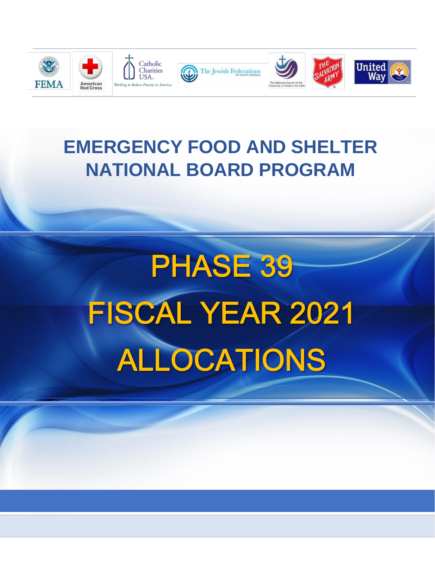

# **EMERGENCY FOOD AND SHELTER NATIONAL BOARD PROGRAM**

# **PHASE 39** FISCAL YEAR 2021 ALLOCATIONS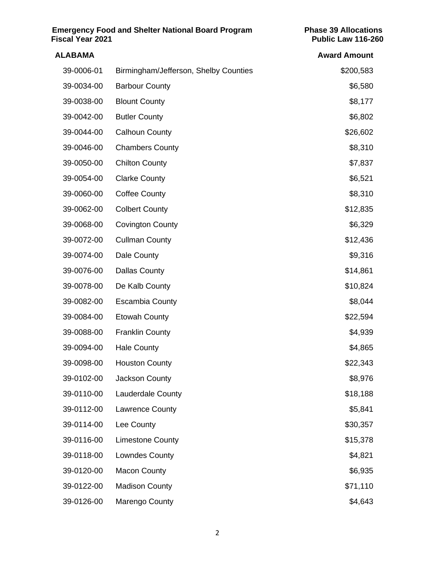| <b>Emergency Food and Shelter National Board Program</b><br><b>Fiscal Year 2021</b><br><b>ALABAMA</b> |                          | <b>Phase 39 Allocations</b><br>Public Law 116-260<br><b>Award Amount</b> |
|-------------------------------------------------------------------------------------------------------|--------------------------|--------------------------------------------------------------------------|
|                                                                                                       |                          |                                                                          |
| 39-0034-00                                                                                            | <b>Barbour County</b>    | \$6,580                                                                  |
| 39-0038-00                                                                                            | <b>Blount County</b>     | \$8,177                                                                  |
| 39-0042-00                                                                                            | <b>Butler County</b>     | \$6,802                                                                  |
| 39-0044-00                                                                                            | <b>Calhoun County</b>    | \$26,602                                                                 |
| 39-0046-00                                                                                            | <b>Chambers County</b>   | \$8,310                                                                  |
| 39-0050-00                                                                                            | <b>Chilton County</b>    | \$7,837                                                                  |
| 39-0054-00                                                                                            | <b>Clarke County</b>     | \$6,521                                                                  |
| 39-0060-00                                                                                            | <b>Coffee County</b>     | \$8,310                                                                  |
| 39-0062-00                                                                                            | <b>Colbert County</b>    | \$12,835                                                                 |
| 39-0068-00                                                                                            | <b>Covington County</b>  | \$6,329                                                                  |
| 39-0072-00                                                                                            | <b>Cullman County</b>    | \$12,436                                                                 |
| 39-0074-00                                                                                            | Dale County              | \$9,316                                                                  |
| 39-0076-00                                                                                            | <b>Dallas County</b>     | \$14,861                                                                 |
| 39-0078-00                                                                                            | De Kalb County           | \$10,824                                                                 |
| 39-0082-00                                                                                            | <b>Escambia County</b>   | \$8,044                                                                  |
| 39-0084-00                                                                                            | <b>Etowah County</b>     | \$22,594                                                                 |
| 39-0088-00                                                                                            | <b>Franklin County</b>   | \$4,939                                                                  |
| 39-0094-00                                                                                            | <b>Hale County</b>       | \$4,865                                                                  |
| 39-0098-00                                                                                            | <b>Houston County</b>    | \$22,343                                                                 |
| 39-0102-00                                                                                            | Jackson County           | \$8,976                                                                  |
| 39-0110-00                                                                                            | <b>Lauderdale County</b> | \$18,188                                                                 |
| 39-0112-00                                                                                            | Lawrence County          | \$5,841                                                                  |
| 39-0114-00                                                                                            | Lee County               | \$30,357                                                                 |
| 39-0116-00                                                                                            | <b>Limestone County</b>  | \$15,378                                                                 |
| 39-0118-00                                                                                            | Lowndes County           | \$4,821                                                                  |
| 39-0120-00                                                                                            | <b>Macon County</b>      | \$6,935                                                                  |
| 39-0122-00                                                                                            | <b>Madison County</b>    | \$71,110                                                                 |
| 39-0126-00                                                                                            | Marengo County           | \$4,643                                                                  |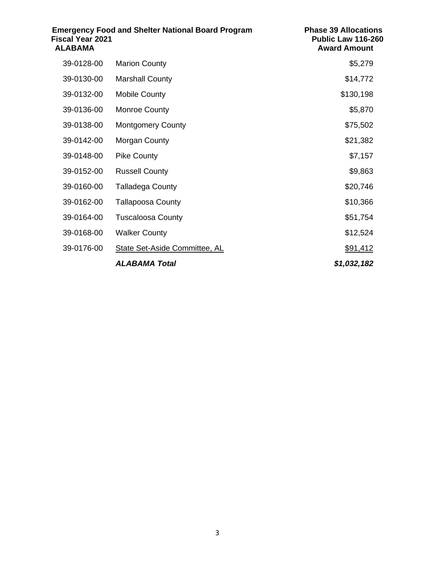| <b>Emergency Food and Shelter National Board Program</b><br>Fiscal Year 2021<br><b>ALABAMA</b> |                               | <b>Phase 39 Allocations</b><br>Public Law 116-260<br><b>Award Amount</b> |
|------------------------------------------------------------------------------------------------|-------------------------------|--------------------------------------------------------------------------|
| 39-0128-00                                                                                     | <b>Marion County</b>          | \$5,279                                                                  |
| 39-0130-00                                                                                     | <b>Marshall County</b>        | \$14,772                                                                 |
| 39-0132-00                                                                                     | <b>Mobile County</b>          | \$130,198                                                                |
| 39-0136-00                                                                                     | <b>Monroe County</b>          | \$5,870                                                                  |
| 39-0138-00                                                                                     | <b>Montgomery County</b>      | \$75,502                                                                 |
| 39-0142-00                                                                                     | Morgan County                 | \$21,382                                                                 |
| 39-0148-00                                                                                     | <b>Pike County</b>            | \$7,157                                                                  |
| 39-0152-00                                                                                     | <b>Russell County</b>         | \$9,863                                                                  |
| 39-0160-00                                                                                     | <b>Talladega County</b>       | \$20,746                                                                 |
| 39-0162-00                                                                                     | <b>Tallapoosa County</b>      | \$10,366                                                                 |
| 39-0164-00                                                                                     | <b>Tuscaloosa County</b>      | \$51,754                                                                 |
| 39-0168-00                                                                                     | <b>Walker County</b>          | \$12,524                                                                 |
| 39-0176-00                                                                                     | State Set-Aside Committee, AL | \$91,412                                                                 |
|                                                                                                | ALABAMA Total                 | \$1,032,182                                                              |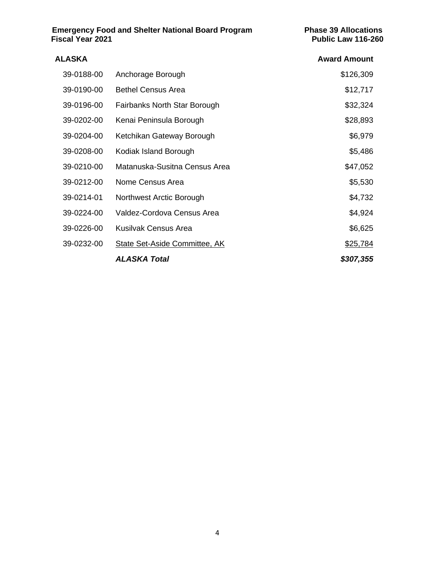**Emergency Food and Shelter National Board Program Phase 39 Allocations Fiscal Year 2021 Public Law 116-260**

| ALASKA     |                                      | <b>Award Amount</b> |
|------------|--------------------------------------|---------------------|
| 39-0188-00 | Anchorage Borough                    | \$126,309           |
| 39-0190-00 | <b>Bethel Census Area</b>            | \$12,717            |
| 39-0196-00 | Fairbanks North Star Borough         | \$32,324            |
| 39-0202-00 | Kenai Peninsula Borough              | \$28,893            |
| 39-0204-00 | Ketchikan Gateway Borough            | \$6,979             |
| 39-0208-00 | Kodiak Island Borough                | \$5,486             |
| 39-0210-00 | Matanuska-Susitna Census Area        | \$47,052            |
| 39-0212-00 | Nome Census Area                     | \$5,530             |
| 39-0214-01 | Northwest Arctic Borough             | \$4,732             |
| 39-0224-00 | Valdez-Cordova Census Area           | \$4,924             |
| 39-0226-00 | Kusilvak Census Area                 | \$6,625             |
| 39-0232-00 | <b>State Set-Aside Committee, AK</b> | \$25,784            |
|            | <b>ALASKA Total</b>                  | \$307,355           |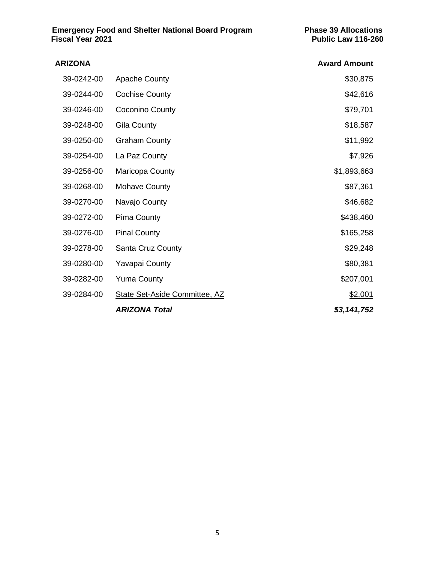| <b>ARIZONA</b> |                                      | <b>Award Amount</b> |
|----------------|--------------------------------------|---------------------|
| 39-0242-00     | <b>Apache County</b>                 | \$30,875            |
| 39-0244-00     | <b>Cochise County</b>                | \$42,616            |
| 39-0246-00     | Coconino County                      | \$79,701            |
| 39-0248-00     | Gila County                          | \$18,587            |
| 39-0250-00     | <b>Graham County</b>                 | \$11,992            |
| 39-0254-00     | La Paz County                        | \$7,926             |
| 39-0256-00     | Maricopa County                      | \$1,893,663         |
| 39-0268-00     | <b>Mohave County</b>                 | \$87,361            |
| 39-0270-00     | Navajo County                        | \$46,682            |
| 39-0272-00     | <b>Pima County</b>                   | \$438,460           |
| 39-0276-00     | <b>Pinal County</b>                  | \$165,258           |
| 39-0278-00     | <b>Santa Cruz County</b>             | \$29,248            |
| 39-0280-00     | <b>Yavapai County</b>                | \$80,381            |
| 39-0282-00     | <b>Yuma County</b>                   | \$207,001           |
| 39-0284-00     | <b>State Set-Aside Committee, AZ</b> | \$2,001             |
|                | <b>ARIZONA Total</b>                 | \$3,141,752         |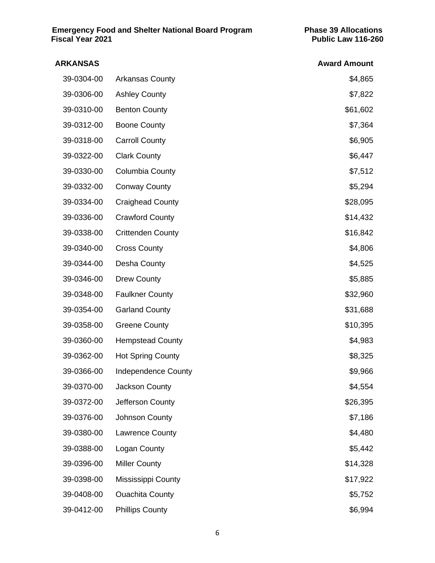| ARKANSAS   |                            | <b>Award Amount</b> |
|------------|----------------------------|---------------------|
| 39-0304-00 | <b>Arkansas County</b>     | \$4,865             |
| 39-0306-00 | <b>Ashley County</b>       | \$7,822             |
| 39-0310-00 | <b>Benton County</b>       | \$61,602            |
| 39-0312-00 | <b>Boone County</b>        | \$7,364             |
| 39-0318-00 | <b>Carroll County</b>      | \$6,905             |
| 39-0322-00 | <b>Clark County</b>        | \$6,447             |
| 39-0330-00 | Columbia County            | \$7,512             |
| 39-0332-00 | <b>Conway County</b>       | \$5,294             |
| 39-0334-00 | <b>Craighead County</b>    | \$28,095            |
| 39-0336-00 | <b>Crawford County</b>     | \$14,432            |
| 39-0338-00 | <b>Crittenden County</b>   | \$16,842            |
| 39-0340-00 | <b>Cross County</b>        | \$4,806             |
| 39-0344-00 | Desha County               | \$4,525             |
| 39-0346-00 | <b>Drew County</b>         | \$5,885             |
| 39-0348-00 | <b>Faulkner County</b>     | \$32,960            |
| 39-0354-00 | <b>Garland County</b>      | \$31,688            |
| 39-0358-00 | <b>Greene County</b>       | \$10,395            |
| 39-0360-00 | <b>Hempstead County</b>    | \$4,983             |
| 39-0362-00 | <b>Hot Spring County</b>   | \$8,325             |
| 39-0366-00 | <b>Independence County</b> | \$9,966             |
| 39-0370-00 | Jackson County             | \$4,554             |
| 39-0372-00 | Jefferson County           | \$26,395            |
| 39-0376-00 | Johnson County             | \$7,186             |
| 39-0380-00 | Lawrence County            | \$4,480             |
| 39-0388-00 | Logan County               | \$5,442             |
| 39-0396-00 | <b>Miller County</b>       | \$14,328            |
| 39-0398-00 | Mississippi County         | \$17,922            |
| 39-0408-00 | <b>Ouachita County</b>     | \$5,752             |
| 39-0412-00 | <b>Phillips County</b>     | \$6,994             |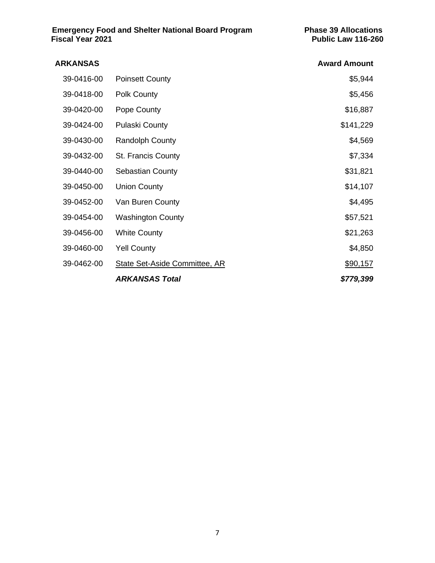| ARKANSAS   |                                      | <b>Award Amount</b> |
|------------|--------------------------------------|---------------------|
| 39-0416-00 | <b>Poinsett County</b>               | \$5,944             |
| 39-0418-00 | Polk County                          | \$5,456             |
| 39-0420-00 | Pope County                          | \$16,887            |
| 39-0424-00 | <b>Pulaski County</b>                | \$141,229           |
| 39-0430-00 | <b>Randolph County</b>               | \$4,569             |
| 39-0432-00 | <b>St. Francis County</b>            | \$7,334             |
| 39-0440-00 | <b>Sebastian County</b>              | \$31,821            |
| 39-0450-00 | <b>Union County</b>                  | \$14,107            |
| 39-0452-00 | Van Buren County                     | \$4,495             |
| 39-0454-00 | <b>Washington County</b>             | \$57,521            |
| 39-0456-00 | <b>White County</b>                  | \$21,263            |
| 39-0460-00 | <b>Yell County</b>                   | \$4,850             |
| 39-0462-00 | <b>State Set-Aside Committee, AR</b> | \$90,157            |
|            | <b>ARKANSAS Total</b>                | \$779,399           |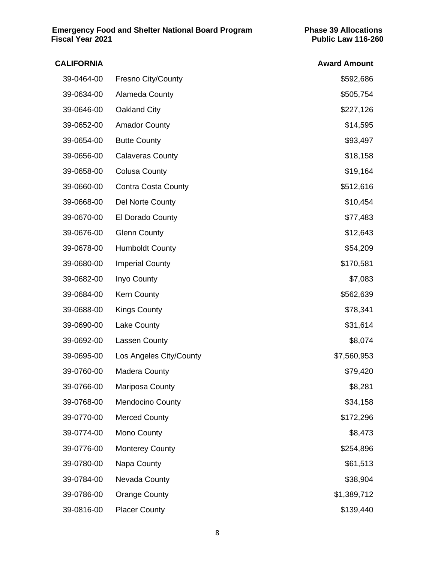| <b>CALIFORNIA</b> |                            | <b>Award Amount</b> |
|-------------------|----------------------------|---------------------|
| 39-0464-00        | <b>Fresno City/County</b>  | \$592,686           |
| 39-0634-00        | Alameda County             | \$505,754           |
| 39-0646-00        | Oakland City               | \$227,126           |
| 39-0652-00        | <b>Amador County</b>       | \$14,595            |
| 39-0654-00        | <b>Butte County</b>        | \$93,497            |
| 39-0656-00        | <b>Calaveras County</b>    | \$18,158            |
| 39-0658-00        | <b>Colusa County</b>       | \$19,164            |
| 39-0660-00        | <b>Contra Costa County</b> | \$512,616           |
| 39-0668-00        | Del Norte County           | \$10,454            |
| 39-0670-00        | El Dorado County           | \$77,483            |
| 39-0676-00        | <b>Glenn County</b>        | \$12,643            |
| 39-0678-00        | <b>Humboldt County</b>     | \$54,209            |
| 39-0680-00        | <b>Imperial County</b>     | \$170,581           |
| 39-0682-00        | Inyo County                | \$7,083             |
| 39-0684-00        | <b>Kern County</b>         | \$562,639           |
| 39-0688-00        | <b>Kings County</b>        | \$78,341            |
| 39-0690-00        | Lake County                | \$31,614            |
| 39-0692-00        | Lassen County              | \$8,074             |
| 39-0695-00        | Los Angeles City/County    | \$7,560,953         |
| 39-0760-00        | Madera County              | \$79,420            |
| 39-0766-00        | Mariposa County            | \$8,281             |
| 39-0768-00        | <b>Mendocino County</b>    | \$34,158            |
| 39-0770-00        | <b>Merced County</b>       | \$172,296           |
| 39-0774-00        | Mono County                | \$8,473             |
| 39-0776-00        | <b>Monterey County</b>     | \$254,896           |
| 39-0780-00        | Napa County                | \$61,513            |
| 39-0784-00        | Nevada County              | \$38,904            |
| 39-0786-00        | <b>Orange County</b>       | \$1,389,712         |
| 39-0816-00        | <b>Placer County</b>       | \$139,440           |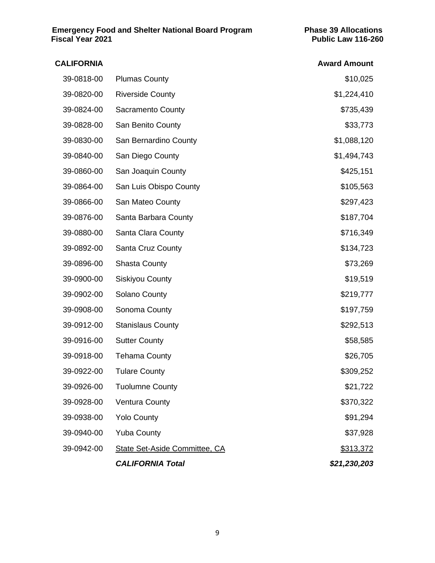| <b>CALIFORNIA</b> |                                      | <b>Award Amount</b> |
|-------------------|--------------------------------------|---------------------|
| 39-0818-00        | <b>Plumas County</b>                 | \$10,025            |
| 39-0820-00        | <b>Riverside County</b>              | \$1,224,410         |
| 39-0824-00        | Sacramento County                    | \$735,439           |
| 39-0828-00        | San Benito County                    | \$33,773            |
| 39-0830-00        | San Bernardino County                | \$1,088,120         |
| 39-0840-00        | San Diego County                     | \$1,494,743         |
| 39-0860-00        | San Joaquin County                   | \$425,151           |
| 39-0864-00        | San Luis Obispo County               | \$105,563           |
| 39-0866-00        | San Mateo County                     | \$297,423           |
| 39-0876-00        | Santa Barbara County                 | \$187,704           |
| 39-0880-00        | Santa Clara County                   | \$716,349           |
| 39-0892-00        | Santa Cruz County                    | \$134,723           |
| 39-0896-00        | <b>Shasta County</b>                 | \$73,269            |
| 39-0900-00        | <b>Siskiyou County</b>               | \$19,519            |
| 39-0902-00        | Solano County                        | \$219,777           |
| 39-0908-00        | Sonoma County                        | \$197,759           |
| 39-0912-00        | <b>Stanislaus County</b>             | \$292,513           |
| 39-0916-00        | <b>Sutter County</b>                 | \$58,585            |
| 39-0918-00        | <b>Tehama County</b>                 | \$26,705            |
| 39-0922-00        | <b>Tulare County</b>                 | \$309,252           |
| 39-0926-00        | <b>Tuolumne County</b>               | \$21,722            |
| 39-0928-00        | <b>Ventura County</b>                | \$370,322           |
| 39-0938-00        | <b>Yolo County</b>                   | \$91,294            |
| 39-0940-00        | <b>Yuba County</b>                   | \$37,928            |
| 39-0942-00        | <b>State Set-Aside Committee, CA</b> | \$313,372           |
|                   | <b>CALIFORNIA Total</b>              | \$21,230,203        |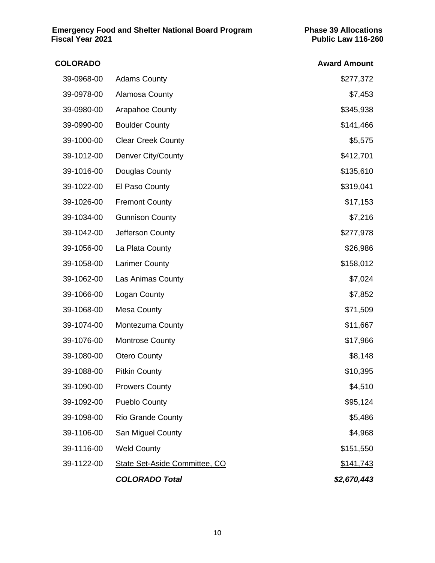| <b>COLORADO</b> |                               | <b>Award Amount</b> |
|-----------------|-------------------------------|---------------------|
| 39-0968-00      | <b>Adams County</b>           | \$277,372           |
| 39-0978-00      | Alamosa County                | \$7,453             |
| 39-0980-00      | <b>Arapahoe County</b>        | \$345,938           |
| 39-0990-00      | <b>Boulder County</b>         | \$141,466           |
| 39-1000-00      | <b>Clear Creek County</b>     | \$5,575             |
| 39-1012-00      | Denver City/County            | \$412,701           |
| 39-1016-00      | Douglas County                | \$135,610           |
| 39-1022-00      | El Paso County                | \$319,041           |
| 39-1026-00      | <b>Fremont County</b>         | \$17,153            |
| 39-1034-00      | <b>Gunnison County</b>        | \$7,216             |
| 39-1042-00      | Jefferson County              | \$277,978           |
| 39-1056-00      | La Plata County               | \$26,986            |
| 39-1058-00      | <b>Larimer County</b>         | \$158,012           |
| 39-1062-00      | Las Animas County             | \$7,024             |
| 39-1066-00      | Logan County                  | \$7,852             |
| 39-1068-00      | <b>Mesa County</b>            | \$71,509            |
| 39-1074-00      | Montezuma County              | \$11,667            |
| 39-1076-00      | <b>Montrose County</b>        | \$17,966            |
| 39-1080-00      | <b>Otero County</b>           | \$8,148             |
| 39-1088-00      | <b>Pitkin County</b>          | \$10,395            |
| 39-1090-00      | <b>Prowers County</b>         | \$4,510             |
| 39-1092-00      | <b>Pueblo County</b>          | \$95,124            |
| 39-1098-00      | <b>Rio Grande County</b>      | \$5,486             |
| 39-1106-00      | San Miguel County             | \$4,968             |
| 39-1116-00      | <b>Weld County</b>            | \$151,550           |
| 39-1122-00      | State Set-Aside Committee, CO | <u>\$141,743</u>    |
|                 | <b>COLORADO Total</b>         | \$2,670,443         |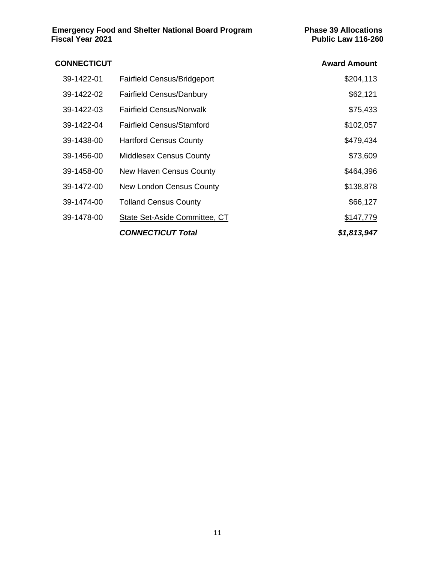#### **CONNECTICUT Award Amount** 39-1422-01 Fairfield Census/Bridgeport \$204,113 39-1422-02 Fairfield Census/Danbury **1990** 1422-02 \$62,121 39-1422-03 Fairfield Census/Norwalk **\$75,433** 39-1422-04 Fairfield Census/Stamford \$102,057 39-1438-00 Hartford Census County **\$479,434** 39-1456-00 Middlesex Census County **\$73,609** \$73,609 39-1458-00 New Haven Census County **\$464,396** 39-1472-00 New London Census County **\$138,878** 39-1474-00 Tolland Census County \$66,127 39-1478-00 State Set-Aside Committee, CT \$147,779 *CONNECTICUT Total \$1,813,947*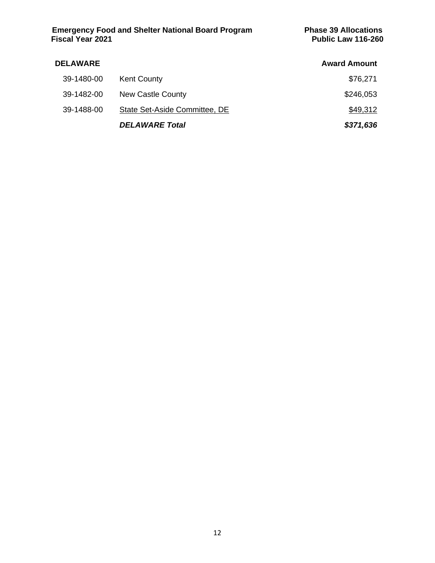#### **DELAWARE Award Amount** 39-1480-00 Kent County **\$76,271** 39-1482-00 New Castle County **\$246,053** 39-1488-00 State Set-Aside Committee, DE *DELAWARE Total \$371,636*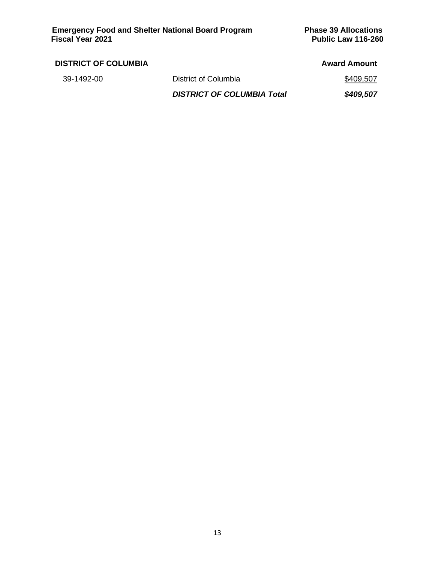|                                   | <b>Award Amount</b> |
|-----------------------------------|---------------------|
| District of Columbia              | \$409,507           |
| <b>DISTRICT OF COLUMBIA Total</b> | \$409,507           |
|                                   |                     |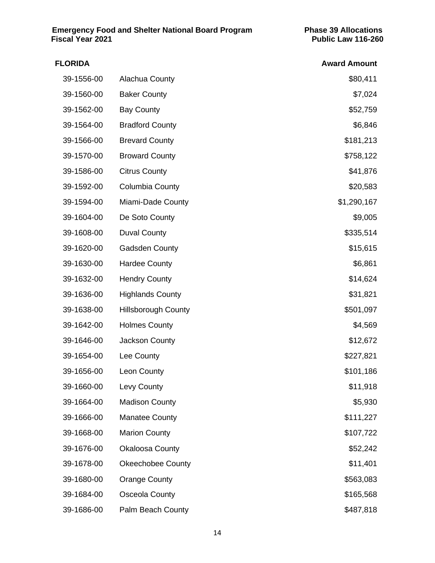| <b>FLORIDA</b> |                            | <b>Award Amount</b> |
|----------------|----------------------------|---------------------|
| 39-1556-00     | Alachua County             | \$80,411            |
| 39-1560-00     | <b>Baker County</b>        | \$7,024             |
| 39-1562-00     | <b>Bay County</b>          | \$52,759            |
| 39-1564-00     | <b>Bradford County</b>     | \$6,846             |
| 39-1566-00     | <b>Brevard County</b>      | \$181,213           |
| 39-1570-00     | <b>Broward County</b>      | \$758,122           |
| 39-1586-00     | <b>Citrus County</b>       | \$41,876            |
| 39-1592-00     | Columbia County            | \$20,583            |
| 39-1594-00     | Miami-Dade County          | \$1,290,167         |
| 39-1604-00     | De Soto County             | \$9,005             |
| 39-1608-00     | <b>Duval County</b>        | \$335,514           |
| 39-1620-00     | <b>Gadsden County</b>      | \$15,615            |
| 39-1630-00     | <b>Hardee County</b>       | \$6,861             |
| 39-1632-00     | <b>Hendry County</b>       | \$14,624            |
| 39-1636-00     | <b>Highlands County</b>    | \$31,821            |
| 39-1638-00     | <b>Hillsborough County</b> | \$501,097           |
| 39-1642-00     | <b>Holmes County</b>       | \$4,569             |
| 39-1646-00     | Jackson County             | \$12,672            |
| 39-1654-00     | Lee County                 | \$227,821           |
| 39-1656-00     | Leon County                | \$101,186           |
| 39-1660-00     | Levy County                | \$11,918            |
| 39-1664-00     | <b>Madison County</b>      | \$5,930             |
| 39-1666-00     | <b>Manatee County</b>      | \$111,227           |
| 39-1668-00     | <b>Marion County</b>       | \$107,722           |
| 39-1676-00     | <b>Okaloosa County</b>     | \$52,242            |
| 39-1678-00     | <b>Okeechobee County</b>   | \$11,401            |
| 39-1680-00     | <b>Orange County</b>       | \$563,083           |
| 39-1684-00     | Osceola County             | \$165,568           |
| 39-1686-00     | Palm Beach County          | \$487,818           |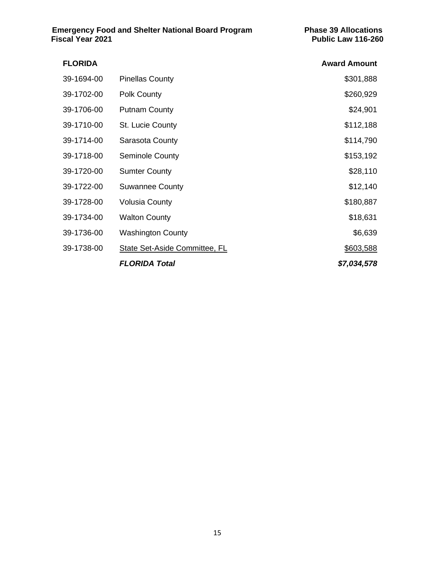| <b>FLORIDA</b> |                                      | <b>Award Amount</b> |
|----------------|--------------------------------------|---------------------|
| 39-1694-00     | <b>Pinellas County</b>               | \$301,888           |
| 39-1702-00     | Polk County                          | \$260,929           |
| 39-1706-00     | <b>Putnam County</b>                 | \$24,901            |
| 39-1710-00     | St. Lucie County                     | \$112,188           |
| 39-1714-00     | Sarasota County                      | \$114,790           |
| 39-1718-00     | <b>Seminole County</b>               | \$153,192           |
| 39-1720-00     | <b>Sumter County</b>                 | \$28,110            |
| 39-1722-00     | <b>Suwannee County</b>               | \$12,140            |
| 39-1728-00     | <b>Volusia County</b>                | \$180,887           |
| 39-1734-00     | <b>Walton County</b>                 | \$18,631            |
| 39-1736-00     | <b>Washington County</b>             | \$6,639             |
| 39-1738-00     | <b>State Set-Aside Committee, FL</b> | \$603,588           |
|                | <b>FLORIDA Total</b>                 | \$7,034,578         |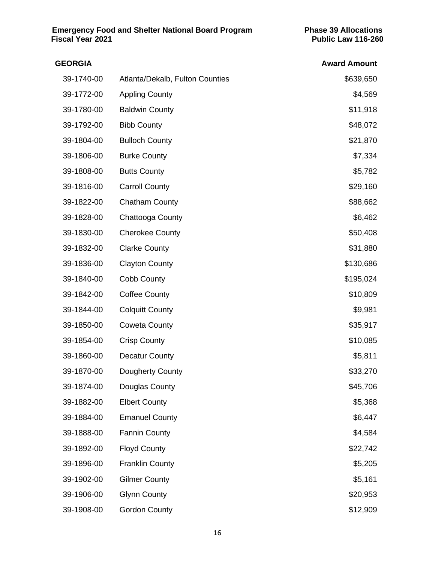| <b>GEORGIA</b> |                                 | <b>Award Amount</b> |
|----------------|---------------------------------|---------------------|
| 39-1740-00     | Atlanta/Dekalb, Fulton Counties | \$639,650           |
| 39-1772-00     | <b>Appling County</b>           | \$4,569             |
| 39-1780-00     | <b>Baldwin County</b>           | \$11,918            |
| 39-1792-00     | <b>Bibb County</b>              | \$48,072            |
| 39-1804-00     | <b>Bulloch County</b>           | \$21,870            |
| 39-1806-00     | <b>Burke County</b>             | \$7,334             |
| 39-1808-00     | <b>Butts County</b>             | \$5,782             |
| 39-1816-00     | <b>Carroll County</b>           | \$29,160            |
| 39-1822-00     | <b>Chatham County</b>           | \$88,662            |
| 39-1828-00     | Chattooga County                | \$6,462             |
| 39-1830-00     | <b>Cherokee County</b>          | \$50,408            |
| 39-1832-00     | <b>Clarke County</b>            | \$31,880            |
| 39-1836-00     | <b>Clayton County</b>           | \$130,686           |
| 39-1840-00     | Cobb County                     | \$195,024           |
| 39-1842-00     | <b>Coffee County</b>            | \$10,809            |
| 39-1844-00     | <b>Colquitt County</b>          | \$9,981             |
| 39-1850-00     | <b>Coweta County</b>            | \$35,917            |
| 39-1854-00     | <b>Crisp County</b>             | \$10,085            |
| 39-1860-00     | <b>Decatur County</b>           | \$5,811             |
| 39-1870-00     | Dougherty County                | \$33,270            |
| 39-1874-00     | Douglas County                  | \$45,706            |
| 39-1882-00     | <b>Elbert County</b>            | \$5,368             |
| 39-1884-00     | <b>Emanuel County</b>           | \$6,447             |
| 39-1888-00     | <b>Fannin County</b>            | \$4,584             |
| 39-1892-00     | <b>Floyd County</b>             | \$22,742            |
| 39-1896-00     | <b>Franklin County</b>          | \$5,205             |
| 39-1902-00     | <b>Gilmer County</b>            | \$5,161             |
| 39-1906-00     | <b>Glynn County</b>             | \$20,953            |
| 39-1908-00     | <b>Gordon County</b>            | \$12,909            |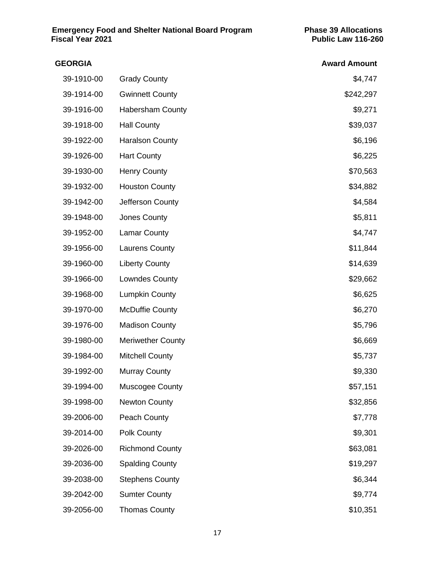| <b>GEORGIA</b> |                          | <b>Award Amount</b> |
|----------------|--------------------------|---------------------|
| 39-1910-00     | <b>Grady County</b>      | \$4,747             |
| 39-1914-00     | <b>Gwinnett County</b>   | \$242,297           |
| 39-1916-00     | <b>Habersham County</b>  | \$9,271             |
| 39-1918-00     | <b>Hall County</b>       | \$39,037            |
| 39-1922-00     | <b>Haralson County</b>   | \$6,196             |
| 39-1926-00     | <b>Hart County</b>       | \$6,225             |
| 39-1930-00     | <b>Henry County</b>      | \$70,563            |
| 39-1932-00     | <b>Houston County</b>    | \$34,882            |
| 39-1942-00     | Jefferson County         | \$4,584             |
| 39-1948-00     | Jones County             | \$5,811             |
| 39-1952-00     | <b>Lamar County</b>      | \$4,747             |
| 39-1956-00     | <b>Laurens County</b>    | \$11,844            |
| 39-1960-00     | <b>Liberty County</b>    | \$14,639            |
| 39-1966-00     | <b>Lowndes County</b>    | \$29,662            |
| 39-1968-00     | <b>Lumpkin County</b>    | \$6,625             |
| 39-1970-00     | <b>McDuffie County</b>   | \$6,270             |
| 39-1976-00     | <b>Madison County</b>    | \$5,796             |
| 39-1980-00     | <b>Meriwether County</b> | \$6,669             |
| 39-1984-00     | <b>Mitchell County</b>   | \$5,737             |
| 39-1992-00     | <b>Murray County</b>     | \$9,330             |
| 39-1994-00     | <b>Muscogee County</b>   | \$57,151            |
| 39-1998-00     | <b>Newton County</b>     | \$32,856            |
| 39-2006-00     | Peach County             | \$7,778             |
| 39-2014-00     | Polk County              | \$9,301             |
| 39-2026-00     | <b>Richmond County</b>   | \$63,081            |
| 39-2036-00     | <b>Spalding County</b>   | \$19,297            |
| 39-2038-00     | <b>Stephens County</b>   | \$6,344             |
| 39-2042-00     | <b>Sumter County</b>     | \$9,774             |
| 39-2056-00     | <b>Thomas County</b>     | \$10,351            |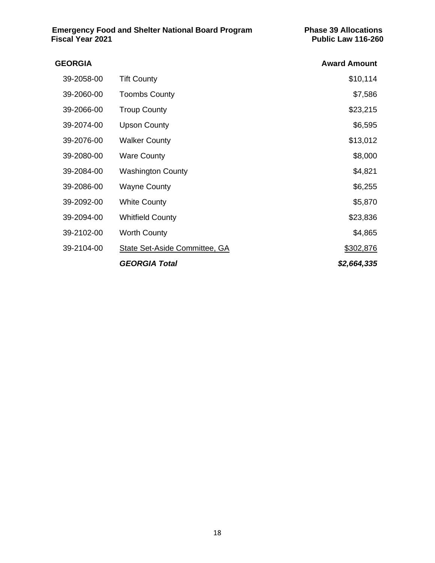# **GEORGIA Award Amount** 39-2058-00 Tift County **39-2058-00** Tift County 39-2060-00 Toombs County **\$7,586** 39-2066-00 Troup County **\$23,215** 39-2074-00 Upson County **\$6,595** 39-2076-00 Walker County **\$13,012** 39-2080-00 Ware County **\$8,000 Ware County \$8,000 Ware County \$8,000** 39-2084-00 Washington County **\$4,821** 39-2086-00 Wayne County **\$6,255** 39-2092-00 White County **\$5,870** 39-2094-00 Whitfield County **\$23,836** 39-2102-00 Worth County **\$4,865** 39-2104-00 State Set-Aside Committee, GA \$302,876 *GEORGIA Total \$2,664,335*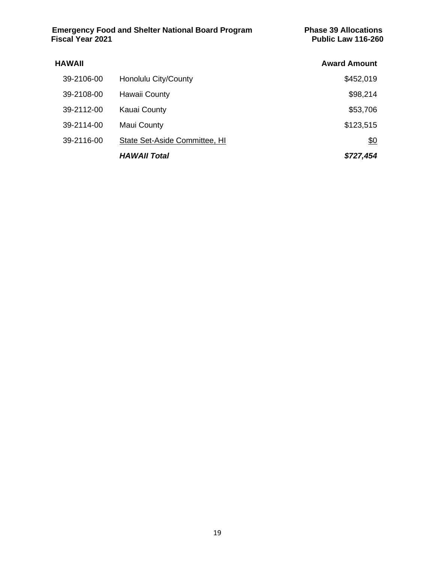| <b>HAWAII</b> |                               | <b>Award Amount</b> |
|---------------|-------------------------------|---------------------|
| 39-2106-00    | Honolulu City/County          | \$452,019           |
| 39-2108-00    | Hawaii County                 | \$98,214            |
| 39-2112-00    | <b>Kauai County</b>           | \$53,706            |
| 39-2114-00    | Maui County                   | \$123,515           |
| 39-2116-00    | State Set-Aside Committee, HI | <u>\$0</u>          |
|               | <b>HAWAII Total</b>           | \$727,454           |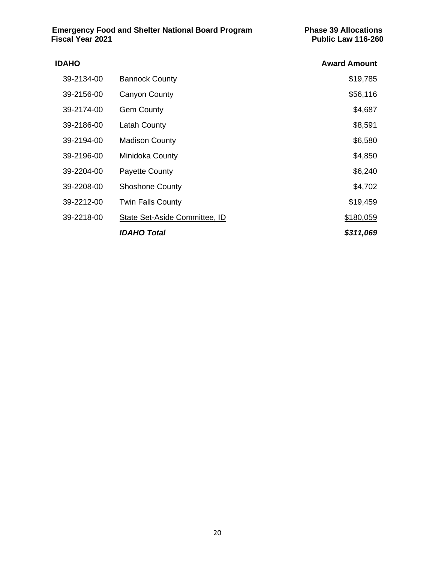| <b>IDAHO</b> |                               | <b>Award Amount</b> |
|--------------|-------------------------------|---------------------|
| 39-2134-00   | <b>Bannock County</b>         | \$19,785            |
| 39-2156-00   | Canyon County                 | \$56,116            |
| 39-2174-00   | <b>Gem County</b>             | \$4,687             |
| 39-2186-00   | Latah County                  | \$8,591             |
| 39-2194-00   | <b>Madison County</b>         | \$6,580             |
| 39-2196-00   | Minidoka County               | \$4,850             |
| 39-2204-00   | <b>Payette County</b>         | \$6,240             |
| 39-2208-00   | <b>Shoshone County</b>        | \$4,702             |
| 39-2212-00   | <b>Twin Falls County</b>      | \$19,459            |
| 39-2218-00   | State Set-Aside Committee, ID | \$180,059           |
|              | <b>IDAHO Total</b>            | \$311,069           |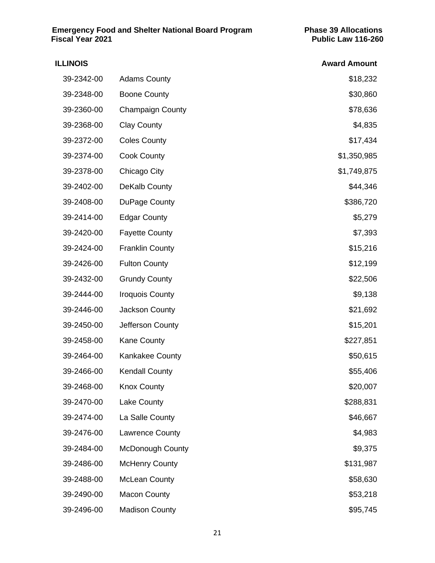| <b>ILLINOIS</b> |                         | <b>Award Amount</b> |
|-----------------|-------------------------|---------------------|
| 39-2342-00      | <b>Adams County</b>     | \$18,232            |
| 39-2348-00      | <b>Boone County</b>     | \$30,860            |
| 39-2360-00      | <b>Champaign County</b> | \$78,636            |
| 39-2368-00      | <b>Clay County</b>      | \$4,835             |
| 39-2372-00      | <b>Coles County</b>     | \$17,434            |
| 39-2374-00      | <b>Cook County</b>      | \$1,350,985         |
| 39-2378-00      | Chicago City            | \$1,749,875         |
| 39-2402-00      | <b>DeKalb County</b>    | \$44,346            |
| 39-2408-00      | DuPage County           | \$386,720           |
| 39-2414-00      | <b>Edgar County</b>     | \$5,279             |
| 39-2420-00      | <b>Fayette County</b>   | \$7,393             |
| 39-2424-00      | <b>Franklin County</b>  | \$15,216            |
| 39-2426-00      | <b>Fulton County</b>    | \$12,199            |
| 39-2432-00      | <b>Grundy County</b>    | \$22,506            |
| 39-2444-00      | <b>Iroquois County</b>  | \$9,138             |
| 39-2446-00      | Jackson County          | \$21,692            |
| 39-2450-00      | Jefferson County        | \$15,201            |
| 39-2458-00      | <b>Kane County</b>      | \$227,851           |
| 39-2464-00      | <b>Kankakee County</b>  | \$50,615            |
| 39-2466-00      | <b>Kendall County</b>   | \$55,406            |
| 39-2468-00      | <b>Knox County</b>      | \$20,007            |
| 39-2470-00      | Lake County             | \$288,831           |
| 39-2474-00      | La Salle County         | \$46,667            |
| 39-2476-00      | <b>Lawrence County</b>  | \$4,983             |
| 39-2484-00      | <b>McDonough County</b> | \$9,375             |
| 39-2486-00      | <b>McHenry County</b>   | \$131,987           |
| 39-2488-00      | <b>McLean County</b>    | \$58,630            |
| 39-2490-00      | <b>Macon County</b>     | \$53,218            |
| 39-2496-00      | <b>Madison County</b>   | \$95,745            |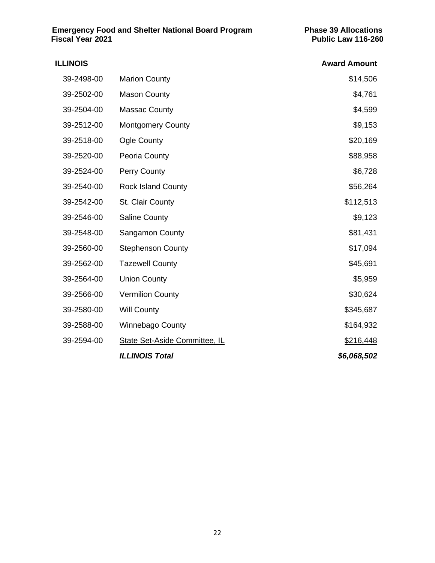| <b>ILLINOIS</b> |                               | <b>Award Amount</b> |
|-----------------|-------------------------------|---------------------|
| 39-2498-00      | <b>Marion County</b>          | \$14,506            |
| 39-2502-00      | <b>Mason County</b>           | \$4,761             |
| 39-2504-00      | <b>Massac County</b>          | \$4,599             |
| 39-2512-00      | <b>Montgomery County</b>      | \$9,153             |
| 39-2518-00      | <b>Ogle County</b>            | \$20,169            |
| 39-2520-00      | Peoria County                 | \$88,958            |
| 39-2524-00      | Perry County                  | \$6,728             |
| 39-2540-00      | <b>Rock Island County</b>     | \$56,264            |
| 39-2542-00      | St. Clair County              | \$112,513           |
| 39-2546-00      | <b>Saline County</b>          | \$9,123             |
| 39-2548-00      | <b>Sangamon County</b>        | \$81,431            |
| 39-2560-00      | <b>Stephenson County</b>      | \$17,094            |
| 39-2562-00      | <b>Tazewell County</b>        | \$45,691            |
| 39-2564-00      | <b>Union County</b>           | \$5,959             |
| 39-2566-00      | <b>Vermilion County</b>       | \$30,624            |
| 39-2580-00      | <b>Will County</b>            | \$345,687           |
| 39-2588-00      | <b>Winnebago County</b>       | \$164,932           |
| 39-2594-00      | State Set-Aside Committee, IL | \$216,448           |
|                 | <b>ILLINOIS Total</b>         | \$6,068,502         |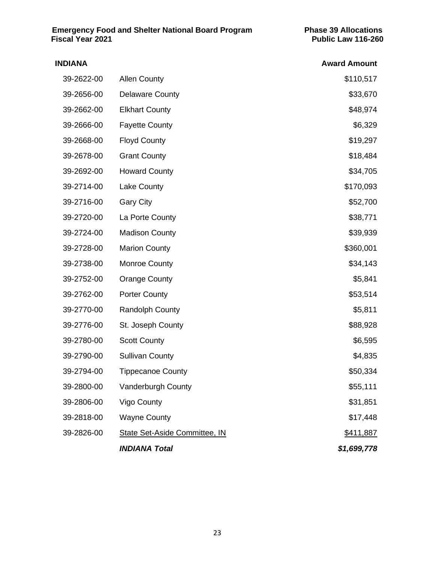# **INDIANA Award Amount** 39-2622-00 Allen County **1990** Allen County **39-2622-00** Allen County 39-2656-00 Delaware County **\$33,670** \$33,670 39-2662-00 Elkhart County **\$48,974** 39-2666-00 Fayette County \$6,329 39-2668-00 Floyd County **\$19,297** 39-2678-00 Grant County **\$18,484** 39-2692-00 Howard County **\$34,705** 39-2714-00 Lake County **1990 Lake County 39-2714-00** 120-2714-00 39-2716-00 Gary City **39-2716-00** S52,700 39-2720-00 La Porte County **\$38,771** 39-2724-00 Madison County **\$39,939** 39-2728-00 Marion County **\$360,001** 39-2738-00 Monroe County **\$34,143** 39-2752-00 Orange County **\$5,841** 39-2762-00 Porter County **\$53,514** 39-2770-00 Randolph County **\$5,811** 39-2776-00 St. Joseph County **1990 St. 39-2776-00** St. 39-2776-00 39-2780-00 Scott County **\$6,595** 39-2790-00 Sullivan County **\$4,835** 39-2794-00 Tippecanoe County **\$50,334** 39-2800-00 Vanderburgh County **\$55,111** 39-2806-00 Vigo County **\$31,851** 39-2818-00 Wayne County **\$17,448** 39-2826-00 State Set-Aside Committee, IN \$411,887 *INDIANA Total \$1,699,778*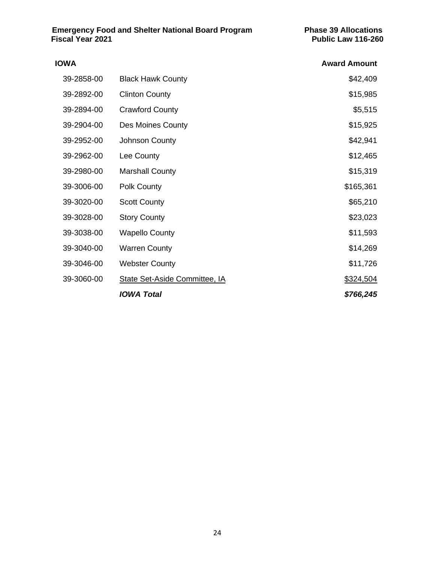| 39-2858-00<br><b>Black Hawk County</b><br><b>Clinton County</b><br>39-2892-00<br>39-2894-00<br><b>Crawford County</b><br>39-2904-00<br>Des Moines County<br>39-2952-00<br>Johnson County<br>39-2962-00<br>Lee County<br>39-2980-00<br><b>Marshall County</b><br>39-3006-00<br><b>Polk County</b><br>39-3020-00<br><b>Scott County</b><br>39-3028-00<br><b>Story County</b><br>39-3038-00<br><b>Wapello County</b><br>39-3040-00<br><b>Warren County</b><br>39-3046-00<br><b>Webster County</b><br>39-3060-00<br>State Set-Aside Committee, IA | <b>Award Amount</b> |
|-----------------------------------------------------------------------------------------------------------------------------------------------------------------------------------------------------------------------------------------------------------------------------------------------------------------------------------------------------------------------------------------------------------------------------------------------------------------------------------------------------------------------------------------------|---------------------|
|                                                                                                                                                                                                                                                                                                                                                                                                                                                                                                                                               | \$42,409            |
|                                                                                                                                                                                                                                                                                                                                                                                                                                                                                                                                               | \$15,985            |
|                                                                                                                                                                                                                                                                                                                                                                                                                                                                                                                                               | \$5,515             |
|                                                                                                                                                                                                                                                                                                                                                                                                                                                                                                                                               | \$15,925            |
|                                                                                                                                                                                                                                                                                                                                                                                                                                                                                                                                               | \$42,941            |
|                                                                                                                                                                                                                                                                                                                                                                                                                                                                                                                                               | \$12,465            |
|                                                                                                                                                                                                                                                                                                                                                                                                                                                                                                                                               | \$15,319            |
|                                                                                                                                                                                                                                                                                                                                                                                                                                                                                                                                               | \$165,361           |
|                                                                                                                                                                                                                                                                                                                                                                                                                                                                                                                                               | \$65,210            |
|                                                                                                                                                                                                                                                                                                                                                                                                                                                                                                                                               | \$23,023            |
|                                                                                                                                                                                                                                                                                                                                                                                                                                                                                                                                               | \$11,593            |
|                                                                                                                                                                                                                                                                                                                                                                                                                                                                                                                                               | \$14,269            |
|                                                                                                                                                                                                                                                                                                                                                                                                                                                                                                                                               | \$11,726            |
|                                                                                                                                                                                                                                                                                                                                                                                                                                                                                                                                               | \$324,504           |
| <b>IOWA Total</b>                                                                                                                                                                                                                                                                                                                                                                                                                                                                                                                             | \$766,245           |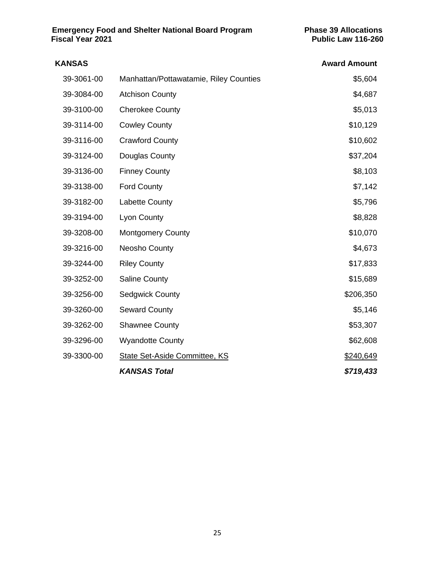| <b>KANSAS</b> |                                        | <b>Award Amount</b> |
|---------------|----------------------------------------|---------------------|
| 39-3061-00    | Manhattan/Pottawatamie, Riley Counties | \$5,604             |
| 39-3084-00    | <b>Atchison County</b>                 | \$4,687             |
| 39-3100-00    | <b>Cherokee County</b>                 | \$5,013             |
| 39-3114-00    | <b>Cowley County</b>                   | \$10,129            |
| 39-3116-00    | <b>Crawford County</b>                 | \$10,602            |
| 39-3124-00    | Douglas County                         | \$37,204            |
| 39-3136-00    | <b>Finney County</b>                   | \$8,103             |
| 39-3138-00    | <b>Ford County</b>                     | \$7,142             |
| 39-3182-00    | Labette County                         | \$5,796             |
| 39-3194-00    | <b>Lyon County</b>                     | \$8,828             |
| 39-3208-00    | <b>Montgomery County</b>               | \$10,070            |
| 39-3216-00    | Neosho County                          | \$4,673             |
| 39-3244-00    | <b>Riley County</b>                    | \$17,833            |
| 39-3252-00    | <b>Saline County</b>                   | \$15,689            |
| 39-3256-00    | <b>Sedgwick County</b>                 | \$206,350           |
| 39-3260-00    | <b>Seward County</b>                   | \$5,146             |
| 39-3262-00    | <b>Shawnee County</b>                  | \$53,307            |
| 39-3296-00    | <b>Wyandotte County</b>                | \$62,608            |
| 39-3300-00    | <b>State Set-Aside Committee, KS</b>   | \$240,649           |
|               | <b>KANSAS Total</b>                    | \$719,433           |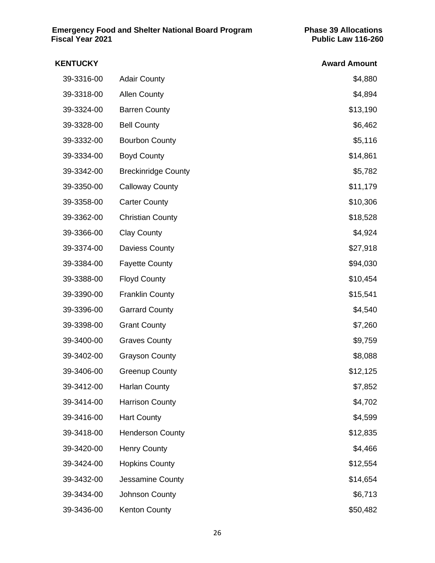| <b>KENTUCKY</b> |                            | <b>Award Amount</b> |
|-----------------|----------------------------|---------------------|
| 39-3316-00      | <b>Adair County</b>        | \$4,880             |
| 39-3318-00      | <b>Allen County</b>        | \$4,894             |
| 39-3324-00      | <b>Barren County</b>       | \$13,190            |
| 39-3328-00      | <b>Bell County</b>         | \$6,462             |
| 39-3332-00      | <b>Bourbon County</b>      | \$5,116             |
| 39-3334-00      | <b>Boyd County</b>         | \$14,861            |
| 39-3342-00      | <b>Breckinridge County</b> | \$5,782             |
| 39-3350-00      | <b>Calloway County</b>     | \$11,179            |
| 39-3358-00      | <b>Carter County</b>       | \$10,306            |
| 39-3362-00      | <b>Christian County</b>    | \$18,528            |
| 39-3366-00      | <b>Clay County</b>         | \$4,924             |
| 39-3374-00      | Daviess County             | \$27,918            |
| 39-3384-00      | <b>Fayette County</b>      | \$94,030            |
| 39-3388-00      | <b>Floyd County</b>        | \$10,454            |
| 39-3390-00      | <b>Franklin County</b>     | \$15,541            |
| 39-3396-00      | <b>Garrard County</b>      | \$4,540             |
| 39-3398-00      | <b>Grant County</b>        | \$7,260             |
| 39-3400-00      | <b>Graves County</b>       | \$9,759             |
| 39-3402-00      | <b>Grayson County</b>      | \$8,088             |
| 39-3406-00      | <b>Greenup County</b>      | \$12,125            |
| 39-3412-00      | <b>Harlan County</b>       | \$7,852             |
| 39-3414-00      | <b>Harrison County</b>     | \$4,702             |
| 39-3416-00      | <b>Hart County</b>         | \$4,599             |
| 39-3418-00      | <b>Henderson County</b>    | \$12,835            |
| 39-3420-00      | <b>Henry County</b>        | \$4,466             |
| 39-3424-00      | <b>Hopkins County</b>      | \$12,554            |
| 39-3432-00      | Jessamine County           | \$14,654            |
| 39-3434-00      | Johnson County             | \$6,713             |
| 39-3436-00      | <b>Kenton County</b>       | \$50,482            |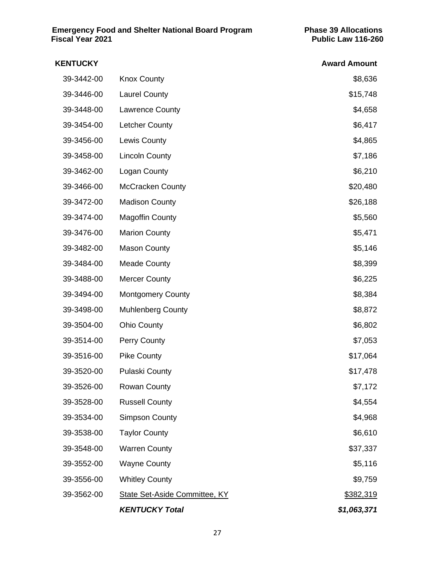| <b>KENTUCKY</b> |                                      | <b>Award Amount</b> |
|-----------------|--------------------------------------|---------------------|
| 39-3442-00      | <b>Knox County</b>                   | \$8,636             |
| 39-3446-00      | <b>Laurel County</b>                 | \$15,748            |
| 39-3448-00      | Lawrence County                      | \$4,658             |
| 39-3454-00      | <b>Letcher County</b>                | \$6,417             |
| 39-3456-00      | Lewis County                         | \$4,865             |
| 39-3458-00      | <b>Lincoln County</b>                | \$7,186             |
| 39-3462-00      | Logan County                         | \$6,210             |
| 39-3466-00      | <b>McCracken County</b>              | \$20,480            |
| 39-3472-00      | <b>Madison County</b>                | \$26,188            |
| 39-3474-00      | <b>Magoffin County</b>               | \$5,560             |
| 39-3476-00      | <b>Marion County</b>                 | \$5,471             |
| 39-3482-00      | <b>Mason County</b>                  | \$5,146             |
| 39-3484-00      | <b>Meade County</b>                  | \$8,399             |
| 39-3488-00      | <b>Mercer County</b>                 | \$6,225             |
| 39-3494-00      | <b>Montgomery County</b>             | \$8,384             |
| 39-3498-00      | <b>Muhlenberg County</b>             | \$8,872             |
| 39-3504-00      | <b>Ohio County</b>                   | \$6,802             |
| 39-3514-00      | Perry County                         | \$7,053             |
| 39-3516-00      | <b>Pike County</b>                   | \$17,064            |
| 39-3520-00      | <b>Pulaski County</b>                | \$17,478            |
| 39-3526-00      | <b>Rowan County</b>                  | \$7,172             |
| 39-3528-00      | <b>Russell County</b>                | \$4,554             |
| 39-3534-00      | <b>Simpson County</b>                | \$4,968             |
| 39-3538-00      | <b>Taylor County</b>                 | \$6,610             |
| 39-3548-00      | <b>Warren County</b>                 | \$37,337            |
| 39-3552-00      | <b>Wayne County</b>                  | \$5,116             |
| 39-3556-00      | <b>Whitley County</b>                | \$9,759             |
| 39-3562-00      | <b>State Set-Aside Committee, KY</b> | \$382,319           |
|                 | <b>KENTUCKY Total</b>                | \$1,063,371         |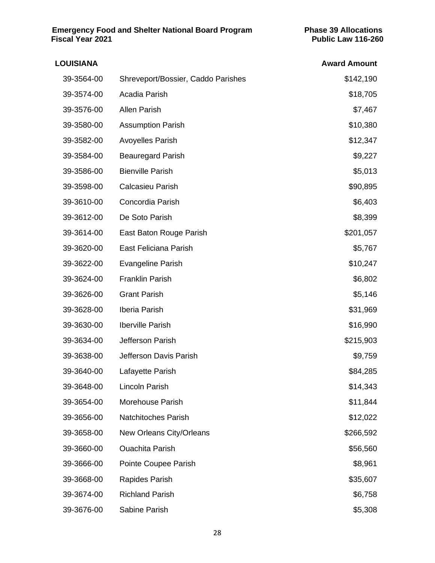| <b>LOUISIANA</b> |                                    | <b>Award Amount</b> |
|------------------|------------------------------------|---------------------|
| 39-3564-00       | Shreveport/Bossier, Caddo Parishes | \$142,190           |
| 39-3574-00       | Acadia Parish                      | \$18,705            |
| 39-3576-00       | <b>Allen Parish</b>                | \$7,467             |
| 39-3580-00       | <b>Assumption Parish</b>           | \$10,380            |
| 39-3582-00       | <b>Avoyelles Parish</b>            | \$12,347            |
| 39-3584-00       | <b>Beauregard Parish</b>           | \$9,227             |
| 39-3586-00       | <b>Bienville Parish</b>            | \$5,013             |
| 39-3598-00       | Calcasieu Parish                   | \$90,895            |
| 39-3610-00       | Concordia Parish                   | \$6,403             |
| 39-3612-00       | De Soto Parish                     | \$8,399             |
| 39-3614-00       | East Baton Rouge Parish            | \$201,057           |
| 39-3620-00       | East Feliciana Parish              | \$5,767             |
| 39-3622-00       | <b>Evangeline Parish</b>           | \$10,247            |
| 39-3624-00       | <b>Franklin Parish</b>             | \$6,802             |
| 39-3626-00       | <b>Grant Parish</b>                | \$5,146             |
| 39-3628-00       | Iberia Parish                      | \$31,969            |
| 39-3630-00       | <b>Iberville Parish</b>            | \$16,990            |
| 39-3634-00       | Jefferson Parish                   | \$215,903           |
| 39-3638-00       | Jefferson Davis Parish             | \$9,759             |
| 39-3640-00       | Lafayette Parish                   | \$84,285            |
| 39-3648-00       | Lincoln Parish                     | \$14,343            |
| 39-3654-00       | Morehouse Parish                   | \$11,844            |
| 39-3656-00       | <b>Natchitoches Parish</b>         | \$12,022            |
| 39-3658-00       | New Orleans City/Orleans           | \$266,592           |
| 39-3660-00       | <b>Ouachita Parish</b>             | \$56,560            |
| 39-3666-00       | Pointe Coupee Parish               | \$8,961             |
| 39-3668-00       | Rapides Parish                     | \$35,607            |
| 39-3674-00       | <b>Richland Parish</b>             | \$6,758             |
| 39-3676-00       | Sabine Parish                      | \$5,308             |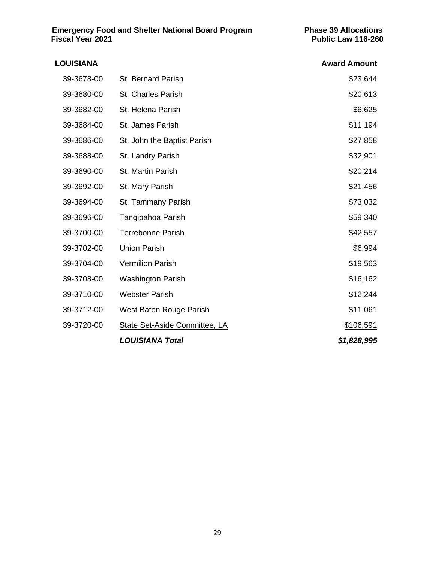| <b>LOUISIANA</b> |                                      | <b>Award Amount</b> |
|------------------|--------------------------------------|---------------------|
| 39-3678-00       | St. Bernard Parish                   | \$23,644            |
| 39-3680-00       | <b>St. Charles Parish</b>            | \$20,613            |
| 39-3682-00       | St. Helena Parish                    | \$6,625             |
| 39-3684-00       | St. James Parish                     | \$11,194            |
| 39-3686-00       | St. John the Baptist Parish          | \$27,858            |
| 39-3688-00       | St. Landry Parish                    | \$32,901            |
| 39-3690-00       | St. Martin Parish                    | \$20,214            |
| 39-3692-00       | St. Mary Parish                      | \$21,456            |
| 39-3694-00       | St. Tammany Parish                   | \$73,032            |
| 39-3696-00       | Tangipahoa Parish                    | \$59,340            |
| 39-3700-00       | <b>Terrebonne Parish</b>             | \$42,557            |
| 39-3702-00       | <b>Union Parish</b>                  | \$6,994             |
| 39-3704-00       | <b>Vermilion Parish</b>              | \$19,563            |
| 39-3708-00       | <b>Washington Parish</b>             | \$16,162            |
| 39-3710-00       | <b>Webster Parish</b>                | \$12,244            |
| 39-3712-00       | West Baton Rouge Parish              | \$11,061            |
| 39-3720-00       | <b>State Set-Aside Committee, LA</b> | \$106,591           |
|                  | <b>LOUISIANA Total</b>               | \$1,828,995         |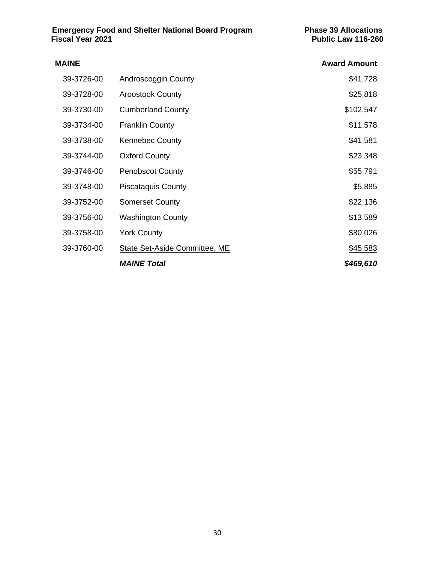| <b>MAINE</b> |                               | <b>Award Amount</b> |
|--------------|-------------------------------|---------------------|
| 39-3726-00   | Androscoggin County           | \$41,728            |
| 39-3728-00   | <b>Aroostook County</b>       | \$25,818            |
| 39-3730-00   | <b>Cumberland County</b>      | \$102,547           |
| 39-3734-00   | <b>Franklin County</b>        | \$11,578            |
| 39-3738-00   | <b>Kennebec County</b>        | \$41,581            |
| 39-3744-00   | <b>Oxford County</b>          | \$23,348            |
| 39-3746-00   | <b>Penobscot County</b>       | \$55,791            |
| 39-3748-00   | <b>Piscataquis County</b>     | \$5,885             |
| 39-3752-00   | <b>Somerset County</b>        | \$22,136            |
| 39-3756-00   | <b>Washington County</b>      | \$13,589            |
| 39-3758-00   | <b>York County</b>            | \$80,026            |
| 39-3760-00   | State Set-Aside Committee, ME | \$45,583            |
|              | <b>MAINE Total</b>            | \$469,610           |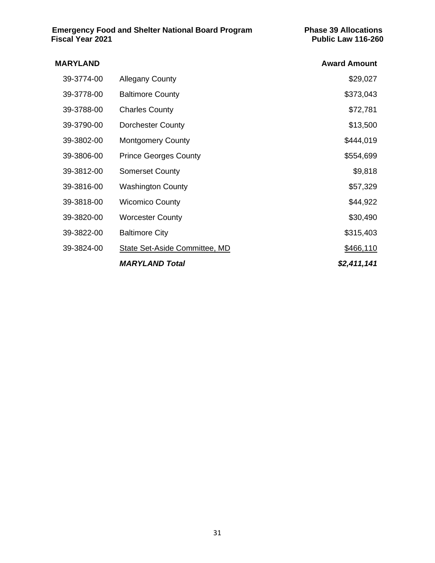# **MARYLAND Award Amount** 39-3774-00 Allegany County **\$29,027** 39-3778-00 Baltimore County **\$373,043** 39-3788-00 Charles County **\$72,781** 39-3790-00 Dorchester County **\$13,500** 39-3802-00 Montgomery County **1990** Montgomery County 39-3806-00 Prince Georges County **\$554,699** 39-3812-00 Somerset County **\$9,818** 39-3816-00 Washington County **\$57,329** 39-3818-00 Wicomico County **\$44,922** 39-3820-00 Worcester County **\$30,490** \$30,490 39-3822-00 Baltimore City \$315,403 39-3824-00 State Set-Aside Committee, MD 5466,110 *MARYLAND Total \$2,411,141*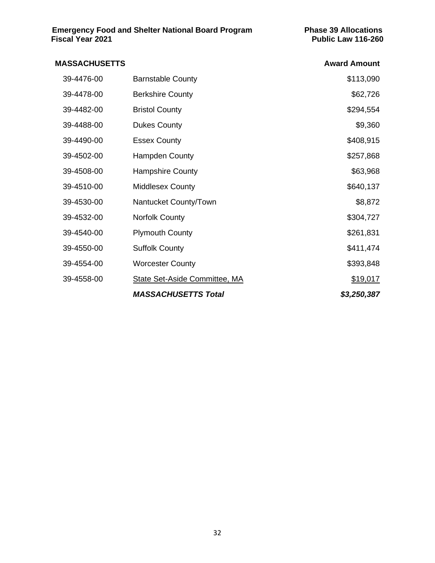| 39-4476-00<br><b>Barnstable County</b><br>39-4478-00<br><b>Berkshire County</b><br>39-4482-00<br><b>Bristol County</b><br>39-4488-00<br><b>Dukes County</b><br>39-4490-00<br><b>Essex County</b><br>39-4502-00<br>Hampden County<br>39-4508-00<br><b>Hampshire County</b><br>39-4510-00<br><b>Middlesex County</b><br>39-4530-00<br>Nantucket County/Town<br>39-4532-00<br>Norfolk County<br>39-4540-00<br><b>Plymouth County</b><br>39-4550-00<br><b>Suffolk County</b><br>39-4554-00<br><b>Worcester County</b><br>39-4558-00<br>State Set-Aside Committee, MA | <b>MASSACHUSETTS</b> |                            | <b>Award Amount</b> |
|------------------------------------------------------------------------------------------------------------------------------------------------------------------------------------------------------------------------------------------------------------------------------------------------------------------------------------------------------------------------------------------------------------------------------------------------------------------------------------------------------------------------------------------------------------------|----------------------|----------------------------|---------------------|
|                                                                                                                                                                                                                                                                                                                                                                                                                                                                                                                                                                  |                      |                            | \$113,090           |
|                                                                                                                                                                                                                                                                                                                                                                                                                                                                                                                                                                  |                      |                            | \$62,726            |
|                                                                                                                                                                                                                                                                                                                                                                                                                                                                                                                                                                  |                      |                            | \$294,554           |
|                                                                                                                                                                                                                                                                                                                                                                                                                                                                                                                                                                  |                      |                            | \$9,360             |
|                                                                                                                                                                                                                                                                                                                                                                                                                                                                                                                                                                  |                      |                            | \$408,915           |
|                                                                                                                                                                                                                                                                                                                                                                                                                                                                                                                                                                  |                      |                            | \$257,868           |
|                                                                                                                                                                                                                                                                                                                                                                                                                                                                                                                                                                  |                      |                            | \$63,968            |
|                                                                                                                                                                                                                                                                                                                                                                                                                                                                                                                                                                  |                      |                            | \$640,137           |
|                                                                                                                                                                                                                                                                                                                                                                                                                                                                                                                                                                  |                      |                            | \$8,872             |
|                                                                                                                                                                                                                                                                                                                                                                                                                                                                                                                                                                  |                      |                            | \$304,727           |
|                                                                                                                                                                                                                                                                                                                                                                                                                                                                                                                                                                  |                      |                            | \$261,831           |
|                                                                                                                                                                                                                                                                                                                                                                                                                                                                                                                                                                  |                      |                            | \$411,474           |
|                                                                                                                                                                                                                                                                                                                                                                                                                                                                                                                                                                  |                      |                            | \$393,848           |
|                                                                                                                                                                                                                                                                                                                                                                                                                                                                                                                                                                  |                      |                            | \$19,017            |
|                                                                                                                                                                                                                                                                                                                                                                                                                                                                                                                                                                  |                      | <b>MASSACHUSETTS Total</b> | \$3,250,387         |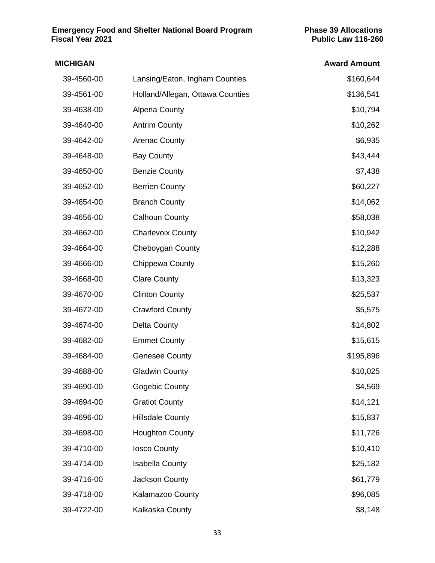| <b>MICHIGAN</b> |                                  | <b>Award Amount</b> |
|-----------------|----------------------------------|---------------------|
| 39-4560-00      | Lansing/Eaton, Ingham Counties   | \$160,644           |
| 39-4561-00      | Holland/Allegan, Ottawa Counties | \$136,541           |
| 39-4638-00      | <b>Alpena County</b>             | \$10,794            |
| 39-4640-00      | <b>Antrim County</b>             | \$10,262            |
| 39-4642-00      | <b>Arenac County</b>             | \$6,935             |
| 39-4648-00      | <b>Bay County</b>                | \$43,444            |
| 39-4650-00      | <b>Benzie County</b>             | \$7,438             |
| 39-4652-00      | <b>Berrien County</b>            | \$60,227            |
| 39-4654-00      | <b>Branch County</b>             | \$14,062            |
| 39-4656-00      | <b>Calhoun County</b>            | \$58,038            |
| 39-4662-00      | <b>Charlevoix County</b>         | \$10,942            |
| 39-4664-00      | Cheboygan County                 | \$12,288            |
| 39-4666-00      | Chippewa County                  | \$15,260            |
| 39-4668-00      | <b>Clare County</b>              | \$13,323            |
| 39-4670-00      | <b>Clinton County</b>            | \$25,537            |
| 39-4672-00      | <b>Crawford County</b>           | \$5,575             |
| 39-4674-00      | <b>Delta County</b>              | \$14,802            |
| 39-4682-00      | <b>Emmet County</b>              | \$15,615            |
| 39-4684-00      | <b>Genesee County</b>            | \$195,896           |
| 39-4688-00      | <b>Gladwin County</b>            | \$10,025            |
| 39-4690-00      | Gogebic County                   | \$4,569             |
| 39-4694-00      | <b>Gratiot County</b>            | \$14,121            |
| 39-4696-00      | <b>Hillsdale County</b>          | \$15,837            |
| 39-4698-00      | <b>Houghton County</b>           | \$11,726            |
| 39-4710-00      | <b>losco County</b>              | \$10,410            |
| 39-4714-00      | <b>Isabella County</b>           | \$25,182            |
| 39-4716-00      | Jackson County                   | \$61,779            |
| 39-4718-00      | Kalamazoo County                 | \$96,085            |
| 39-4722-00      | Kalkaska County                  | \$8,148             |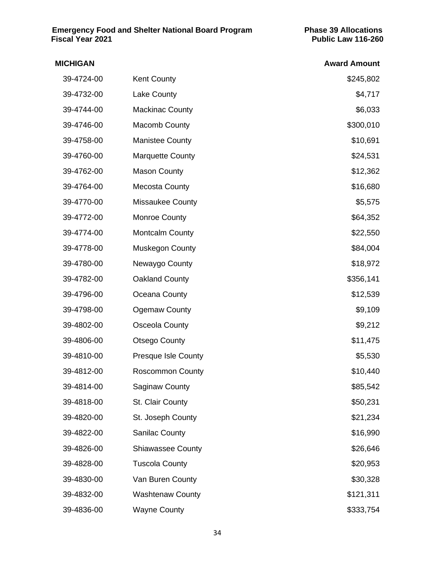| <b>MICHIGAN</b> |                            | <b>Award Amount</b> |
|-----------------|----------------------------|---------------------|
| 39-4724-00      | <b>Kent County</b>         | \$245,802           |
| 39-4732-00      | Lake County                | \$4,717             |
| 39-4744-00      | <b>Mackinac County</b>     | \$6,033             |
| 39-4746-00      | <b>Macomb County</b>       | \$300,010           |
| 39-4758-00      | <b>Manistee County</b>     | \$10,691            |
| 39-4760-00      | <b>Marquette County</b>    | \$24,531            |
| 39-4762-00      | <b>Mason County</b>        | \$12,362            |
| 39-4764-00      | <b>Mecosta County</b>      | \$16,680            |
| 39-4770-00      | Missaukee County           | \$5,575             |
| 39-4772-00      | Monroe County              | \$64,352            |
| 39-4774-00      | Montcalm County            | \$22,550            |
| 39-4778-00      | <b>Muskegon County</b>     | \$84,004            |
| 39-4780-00      | Newaygo County             | \$18,972            |
| 39-4782-00      | Oakland County             | \$356,141           |
| 39-4796-00      | Oceana County              | \$12,539            |
| 39-4798-00      | <b>Ogemaw County</b>       | \$9,109             |
| 39-4802-00      | <b>Osceola County</b>      | \$9,212             |
| 39-4806-00      | <b>Otsego County</b>       | \$11,475            |
| 39-4810-00      | <b>Presque Isle County</b> | \$5,530             |
| 39-4812-00      | <b>Roscommon County</b>    | \$10,440            |
| 39-4814-00      | <b>Saginaw County</b>      | \$85,542            |
| 39-4818-00      | St. Clair County           | \$50,231            |
| 39-4820-00      | St. Joseph County          | \$21,234            |
| 39-4822-00      | <b>Sanilac County</b>      | \$16,990            |
| 39-4826-00      | <b>Shiawassee County</b>   | \$26,646            |
| 39-4828-00      | <b>Tuscola County</b>      | \$20,953            |
| 39-4830-00      | Van Buren County           | \$30,328            |
| 39-4832-00      | <b>Washtenaw County</b>    | \$121,311           |
| 39-4836-00      | <b>Wayne County</b>        | \$333,754           |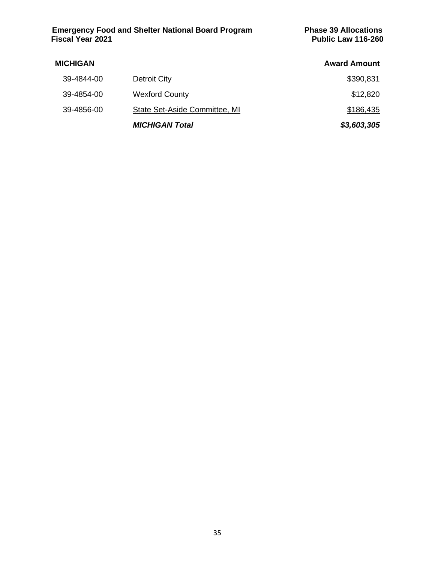#### **MICHIGAN Award Amount** 39-4844-00 Detroit City \$390,831 39-4854-00 Wexford County **\$12,820** 39-4856-00 State Set-Aside Committee, MI \$186,435 *MICHIGAN Total \$3,603,305*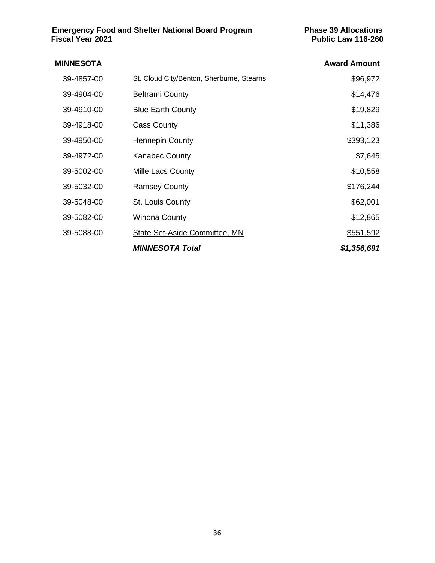| <b>MINNESOTA</b> |                                           | <b>Award Amount</b> |
|------------------|-------------------------------------------|---------------------|
| 39-4857-00       | St. Cloud City/Benton, Sherburne, Stearns | \$96,972            |
| 39-4904-00       | <b>Beltrami County</b>                    | \$14,476            |
| 39-4910-00       | <b>Blue Earth County</b>                  | \$19,829            |
| 39-4918-00       | <b>Cass County</b>                        | \$11,386            |
| 39-4950-00       | <b>Hennepin County</b>                    | \$393,123           |
| 39-4972-00       | <b>Kanabec County</b>                     | \$7,645             |
| 39-5002-00       | Mille Lacs County                         | \$10,558            |
| 39-5032-00       | <b>Ramsey County</b>                      | \$176,244           |
| 39-5048-00       | St. Louis County                          | \$62,001            |
| 39-5082-00       | Winona County                             | \$12,865            |
| 39-5088-00       | State Set-Aside Committee, MN             | \$551,592           |
|                  | <b>MINNESOTA Total</b>                    | \$1,356,691         |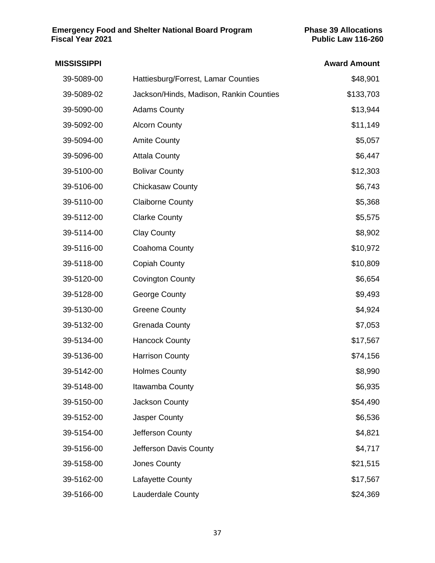| <b>MISSISSIPPI</b> |                                         | <b>Award Amount</b> |
|--------------------|-----------------------------------------|---------------------|
| 39-5089-00         | Hattiesburg/Forrest, Lamar Counties     | \$48,901            |
| 39-5089-02         | Jackson/Hinds, Madison, Rankin Counties | \$133,703           |
| 39-5090-00         | <b>Adams County</b>                     | \$13,944            |
| 39-5092-00         | <b>Alcorn County</b>                    | \$11,149            |
| 39-5094-00         | <b>Amite County</b>                     | \$5,057             |
| 39-5096-00         | <b>Attala County</b>                    | \$6,447             |
| 39-5100-00         | <b>Bolivar County</b>                   | \$12,303            |
| 39-5106-00         | Chickasaw County                        | \$6,743             |
| 39-5110-00         | <b>Claiborne County</b>                 | \$5,368             |
| 39-5112-00         | <b>Clarke County</b>                    | \$5,575             |
| 39-5114-00         | <b>Clay County</b>                      | \$8,902             |
| 39-5116-00         | Coahoma County                          | \$10,972            |
| 39-5118-00         | <b>Copiah County</b>                    | \$10,809            |
| 39-5120-00         | <b>Covington County</b>                 | \$6,654             |
| 39-5128-00         | George County                           | \$9,493             |
| 39-5130-00         | <b>Greene County</b>                    | \$4,924             |
| 39-5132-00         | <b>Grenada County</b>                   | \$7,053             |
| 39-5134-00         | <b>Hancock County</b>                   | \$17,567            |
| 39-5136-00         | <b>Harrison County</b>                  | \$74,156            |
| 39-5142-00         | <b>Holmes County</b>                    | \$8,990             |
| 39-5148-00         | Itawamba County                         | \$6,935             |
| 39-5150-00         | Jackson County                          | \$54,490            |
| 39-5152-00         | Jasper County                           | \$6,536             |
| 39-5154-00         | Jefferson County                        | \$4,821             |
| 39-5156-00         | Jefferson Davis County                  | \$4,717             |
| 39-5158-00         | Jones County                            | \$21,515            |
| 39-5162-00         | Lafayette County                        | \$17,567            |
| 39-5166-00         | Lauderdale County                       | \$24,369            |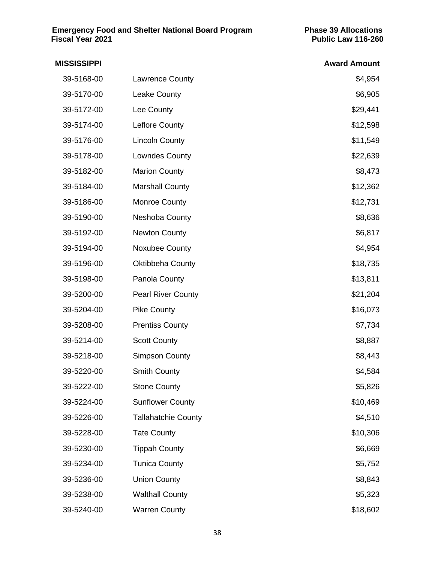# **MISSISSIPPI Award Amount** 39-5168-00 Lawrence County **64,954** 39-5170-00 Leake County \$6,905 39-5172-00 Lee County **1990 Lee County 39-5172-00** \$29,441 39-5174-00 Leflore County **\$12,598** 39-5176-00 Lincoln County **39-5176-00** \$11,549 39-5178-00 Lowndes County **\$22,639** 39-5182-00 Marion County **39-5182-00** \$8,473 39-5184-00 Marshall County **12,362** 39-5186-00 Monroe County **\$12,731** 39-5190-00 Neshoba County \$8,636 39-5192-00 Newton County **1998** Newton County **1998** Newton **\$6,817** 39-5194-00 Noxubee County **\$4,954** 39-5196-00 Oktibbeha County **618,735** COUNTY 39-5198-00 Panola County **1990 Panola County 39-5198-00** \$13,811 39-5200-00 Pearl River County **1991-100 Pearl River County** 1991-1991 1992 1.204 39-5204-00 Pike County **1994** Providence of the State of the State of the State of the State of the State of the State of the State of the State of the State of the State of the State of the State of the State of the State 39-5208-00 Prentiss County \$7,734 39-5214-00 Scott County **\$8,887** 39-5218-00 Simpson County **\$8,443** 39-5220-00 Smith County **\$4,584** 39-5222-00 Stone County **\$5,826** 39-5224-00 Sunflower County **\$10,469** 39-5226-00 Tallahatchie County \$4,510 39-5228-00 Tate County **10.306** S10,306 39-5230-00 Tippah County **1996-100 Tippah County** 1996-100 Tippah 1996-100 Tippah 1996-100 Tippah 1996-100 Tippah 39-5234-00 Tunica County **\$5,752** 39-5236-00 Union County **\$8,843** 39-5238-00 Walthall County \$5,323 39-5240-00 Warren County **\$18,602**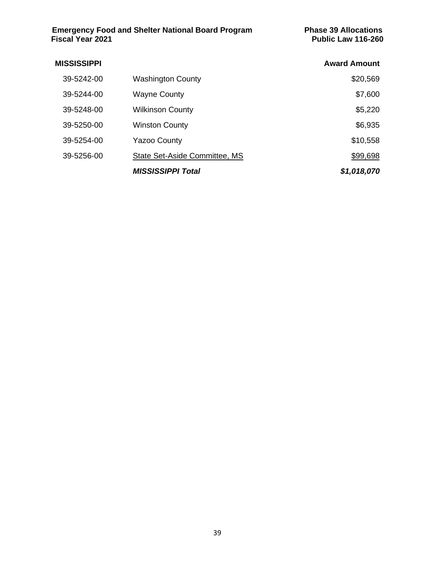| <b>Award Amount</b> |                               | <b>MISSISSIPPI</b> |
|---------------------|-------------------------------|--------------------|
| \$20,569            | <b>Washington County</b>      | 39-5242-00         |
| \$7,600             | <b>Wayne County</b>           | 39-5244-00         |
| \$5,220             | <b>Wilkinson County</b>       | 39-5248-00         |
| \$6,935             | <b>Winston County</b>         | 39-5250-00         |
| \$10,558            | <b>Yazoo County</b>           | 39-5254-00         |
| \$99,698            | State Set-Aside Committee, MS | 39-5256-00         |
| \$1,018,070         | <b>MISSISSIPPI Total</b>      |                    |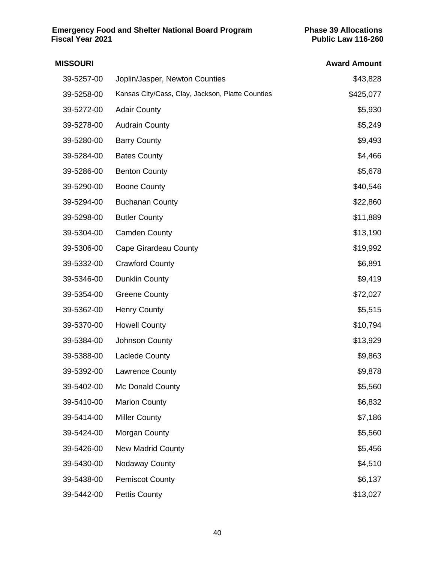| <b>MISSOURI</b> |                                                  | <b>Award Amount</b> |
|-----------------|--------------------------------------------------|---------------------|
| 39-5257-00      | Joplin/Jasper, Newton Counties                   | \$43,828            |
| 39-5258-00      | Kansas City/Cass, Clay, Jackson, Platte Counties | \$425,077           |
| 39-5272-00      | <b>Adair County</b>                              | \$5,930             |
| 39-5278-00      | <b>Audrain County</b>                            | \$5,249             |
| 39-5280-00      | <b>Barry County</b>                              | \$9,493             |
| 39-5284-00      | <b>Bates County</b>                              | \$4,466             |
| 39-5286-00      | <b>Benton County</b>                             | \$5,678             |
| 39-5290-00      | <b>Boone County</b>                              | \$40,546            |
| 39-5294-00      | <b>Buchanan County</b>                           | \$22,860            |
| 39-5298-00      | <b>Butler County</b>                             | \$11,889            |
| 39-5304-00      | <b>Camden County</b>                             | \$13,190            |
| 39-5306-00      | <b>Cape Girardeau County</b>                     | \$19,992            |
| 39-5332-00      | <b>Crawford County</b>                           | \$6,891             |
| 39-5346-00      | <b>Dunklin County</b>                            | \$9,419             |
| 39-5354-00      | <b>Greene County</b>                             | \$72,027            |
| 39-5362-00      | <b>Henry County</b>                              | \$5,515             |
| 39-5370-00      | <b>Howell County</b>                             | \$10,794            |
| 39-5384-00      | Johnson County                                   | \$13,929            |
| 39-5388-00      | <b>Laclede County</b>                            | \$9,863             |
| 39-5392-00      | <b>Lawrence County</b>                           | \$9,878             |
| 39-5402-00      | Mc Donald County                                 | \$5,560             |
| 39-5410-00      | <b>Marion County</b>                             | \$6,832             |
| 39-5414-00      | <b>Miller County</b>                             | \$7,186             |
| 39-5424-00      | Morgan County                                    | \$5,560             |
| 39-5426-00      | <b>New Madrid County</b>                         | \$5,456             |
| 39-5430-00      | <b>Nodaway County</b>                            | \$4,510             |
| 39-5438-00      | <b>Pemiscot County</b>                           | \$6,137             |
| 39-5442-00      | <b>Pettis County</b>                             | \$13,027            |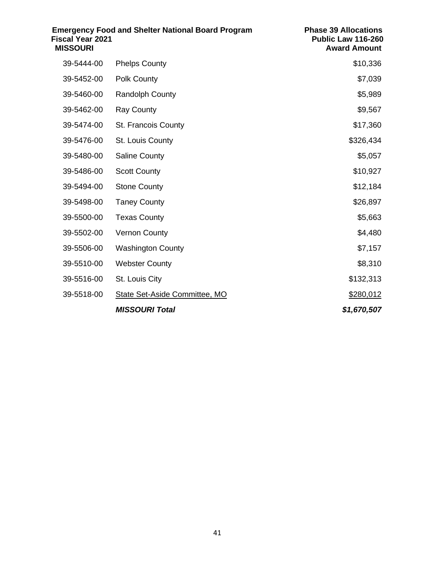| <b>Fiscal Year 2021</b><br><b>MISSOURI</b> | <b>Emergency Food and Shelter National Board Program</b> | <b>Phase 39 Allocations</b><br>Public Law 116-260<br><b>Award Amount</b> |
|--------------------------------------------|----------------------------------------------------------|--------------------------------------------------------------------------|
| 39-5444-00                                 | <b>Phelps County</b>                                     | \$10,336                                                                 |
| 39-5452-00                                 | <b>Polk County</b>                                       | \$7,039                                                                  |
| 39-5460-00                                 | <b>Randolph County</b>                                   | \$5,989                                                                  |
| 39-5462-00                                 | <b>Ray County</b>                                        | \$9,567                                                                  |
| 39-5474-00                                 | St. Francois County                                      | \$17,360                                                                 |
| 39-5476-00                                 | St. Louis County                                         | \$326,434                                                                |
| 39-5480-00                                 | <b>Saline County</b>                                     | \$5,057                                                                  |
| 39-5486-00                                 | <b>Scott County</b>                                      | \$10,927                                                                 |
| 39-5494-00                                 | <b>Stone County</b>                                      | \$12,184                                                                 |
| 39-5498-00                                 | <b>Taney County</b>                                      | \$26,897                                                                 |
| 39-5500-00                                 | <b>Texas County</b>                                      | \$5,663                                                                  |
| 39-5502-00                                 | <b>Vernon County</b>                                     | \$4,480                                                                  |
| 39-5506-00                                 | <b>Washington County</b>                                 | \$7,157                                                                  |
| 39-5510-00                                 | <b>Webster County</b>                                    | \$8,310                                                                  |
| 39-5516-00                                 | St. Louis City                                           | \$132,313                                                                |
| 39-5518-00                                 | State Set-Aside Committee, MO                            | \$280,012                                                                |
|                                            | <b>MISSOURI Total</b>                                    | \$1,670,507                                                              |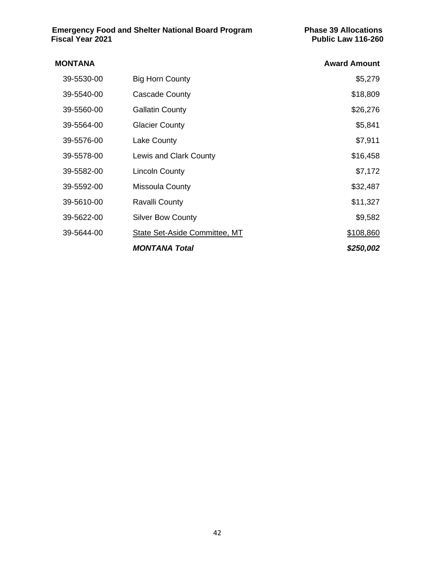| <b>MONTANA</b> |                               | <b>Award Amount</b> |
|----------------|-------------------------------|---------------------|
| 39-5530-00     | <b>Big Horn County</b>        | \$5,279             |
| 39-5540-00     | Cascade County                | \$18,809            |
| 39-5560-00     | <b>Gallatin County</b>        | \$26,276            |
| 39-5564-00     | <b>Glacier County</b>         | \$5,841             |
| 39-5576-00     | Lake County                   | \$7,911             |
| 39-5578-00     | Lewis and Clark County        | \$16,458            |
| 39-5582-00     | <b>Lincoln County</b>         | \$7,172             |
| 39-5592-00     | Missoula County               | \$32,487            |
| 39-5610-00     | Ravalli County                | \$11,327            |
| 39-5622-00     | <b>Silver Bow County</b>      | \$9,582             |
| 39-5644-00     | State Set-Aside Committee, MT | \$108,860           |
|                | <b>MONTANA Total</b>          | \$250,002           |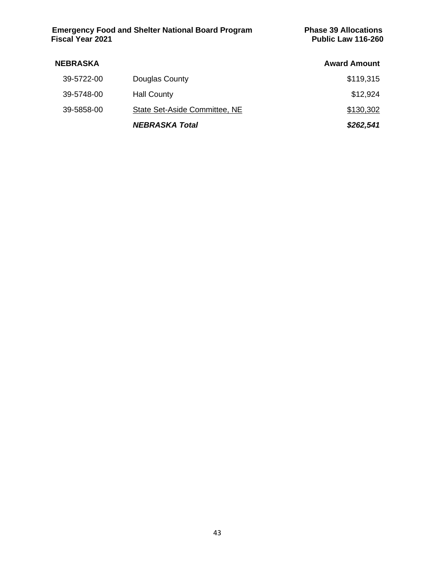| <b>NEBRASKA</b> |                               | <b>Award Amount</b> |
|-----------------|-------------------------------|---------------------|
| 39-5722-00      | Douglas County                | \$119,315           |
| 39-5748-00      | <b>Hall County</b>            | \$12,924            |
| 39-5858-00      | State Set-Aside Committee, NE | \$130,302           |
|                 | <b>NEBRASKA Total</b>         | \$262,541           |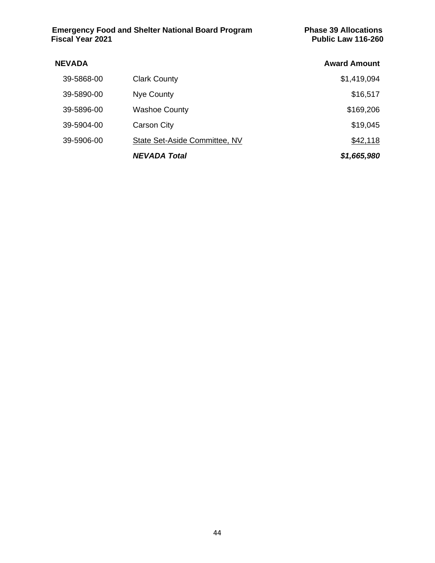| <b>Emergency Food and Shelter National Board Program</b> | <b>Phase 39 Allocations</b> |
|----------------------------------------------------------|-----------------------------|
| <b>Fiscal Year 2021</b>                                  | <b>Public Law 116-260</b>   |

| <b>NEVADA</b> |                               | <b>Award Amount</b> |
|---------------|-------------------------------|---------------------|
| 39-5868-00    | <b>Clark County</b>           | \$1,419,094         |
| 39-5890-00    | Nye County                    | \$16,517            |
| 39-5896-00    | <b>Washoe County</b>          | \$169,206           |
| 39-5904-00    | <b>Carson City</b>            | \$19,045            |
| 39-5906-00    | State Set-Aside Committee, NV | \$42,118            |
|               | <b>NEVADA Total</b>           | \$1,665,980         |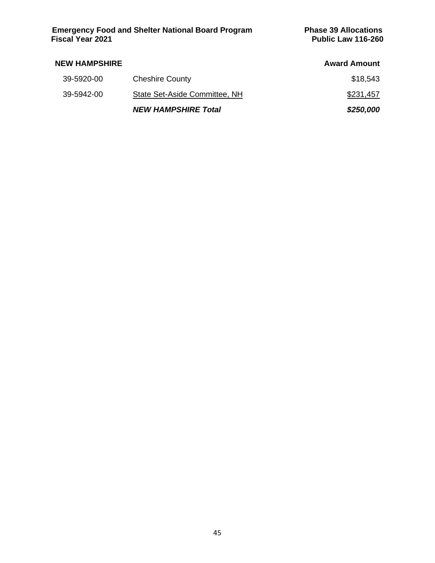| <b>Emergency Food and Shelter National Board Program</b> |  |  |
|----------------------------------------------------------|--|--|
| Fiscal Year 2021                                         |  |  |

| <b>NEW HAMPSHIRE</b> |                               | <b>Award Amount</b> |
|----------------------|-------------------------------|---------------------|
| 39-5920-00           | <b>Cheshire County</b>        | \$18,543            |
| 39-5942-00           | State Set-Aside Committee, NH | \$231,457           |
|                      | <b>NEW HAMPSHIRE Total</b>    | \$250,000           |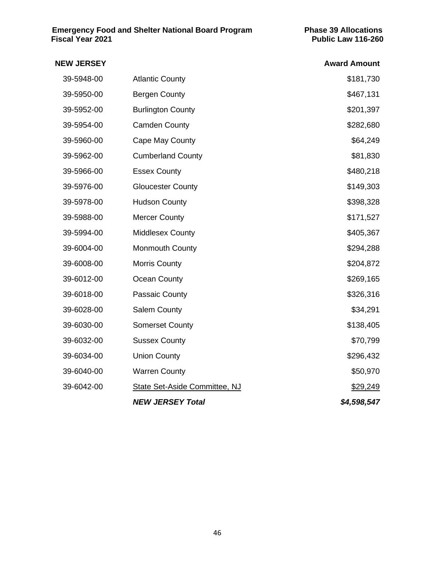| <b>NEW JERSEY</b> |                                      | <b>Award Amount</b> |
|-------------------|--------------------------------------|---------------------|
| 39-5948-00        | <b>Atlantic County</b>               | \$181,730           |
| 39-5950-00        | <b>Bergen County</b>                 | \$467,131           |
| 39-5952-00        | <b>Burlington County</b>             | \$201,397           |
| 39-5954-00        | <b>Camden County</b>                 | \$282,680           |
| 39-5960-00        | Cape May County                      | \$64,249            |
| 39-5962-00        | <b>Cumberland County</b>             | \$81,830            |
| 39-5966-00        | <b>Essex County</b>                  | \$480,218           |
| 39-5976-00        | <b>Gloucester County</b>             | \$149,303           |
| 39-5978-00        | <b>Hudson County</b>                 | \$398,328           |
| 39-5988-00        | <b>Mercer County</b>                 | \$171,527           |
| 39-5994-00        | <b>Middlesex County</b>              | \$405,367           |
| 39-6004-00        | <b>Monmouth County</b>               | \$294,288           |
| 39-6008-00        | <b>Morris County</b>                 | \$204,872           |
| 39-6012-00        | Ocean County                         | \$269,165           |
| 39-6018-00        | Passaic County                       | \$326,316           |
| 39-6028-00        | <b>Salem County</b>                  | \$34,291            |
| 39-6030-00        | <b>Somerset County</b>               | \$138,405           |
| 39-6032-00        | <b>Sussex County</b>                 | \$70,799            |
| 39-6034-00        | <b>Union County</b>                  | \$296,432           |
| 39-6040-00        | <b>Warren County</b>                 | \$50,970            |
| 39-6042-00        | <b>State Set-Aside Committee, NJ</b> | \$29,249            |
|                   | <b>NEW JERSEY Total</b>              | \$4,598,547         |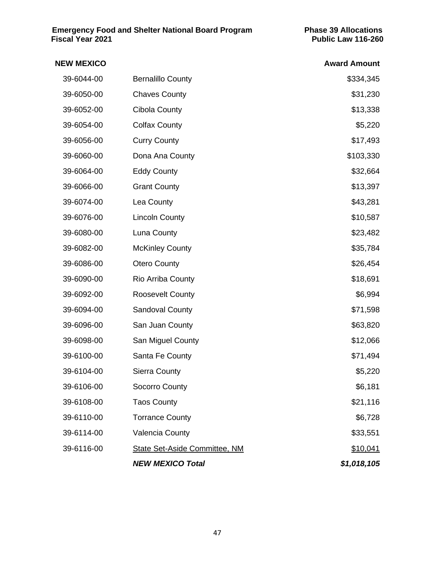| <b>NEW MEXICO</b> |                                      | <b>Award Amount</b> |
|-------------------|--------------------------------------|---------------------|
| 39-6044-00        | <b>Bernalillo County</b>             | \$334,345           |
| 39-6050-00        | <b>Chaves County</b>                 | \$31,230            |
| 39-6052-00        | <b>Cibola County</b>                 | \$13,338            |
| 39-6054-00        | <b>Colfax County</b>                 | \$5,220             |
| 39-6056-00        | <b>Curry County</b>                  | \$17,493            |
| 39-6060-00        | Dona Ana County                      | \$103,330           |
| 39-6064-00        | <b>Eddy County</b>                   | \$32,664            |
| 39-6066-00        | <b>Grant County</b>                  | \$13,397            |
| 39-6074-00        | Lea County                           | \$43,281            |
| 39-6076-00        | <b>Lincoln County</b>                | \$10,587            |
| 39-6080-00        | Luna County                          | \$23,482            |
| 39-6082-00        | <b>McKinley County</b>               | \$35,784            |
| 39-6086-00        | <b>Otero County</b>                  | \$26,454            |
| 39-6090-00        | Rio Arriba County                    | \$18,691            |
| 39-6092-00        | <b>Roosevelt County</b>              | \$6,994             |
| 39-6094-00        | Sandoval County                      | \$71,598            |
| 39-6096-00        | San Juan County                      | \$63,820            |
| 39-6098-00        | San Miguel County                    | \$12,066            |
| 39-6100-00        | Santa Fe County                      | \$71,494            |
| 39-6104-00        | <b>Sierra County</b>                 | \$5,220             |
| 39-6106-00        | Socorro County                       | \$6,181             |
| 39-6108-00        | <b>Taos County</b>                   | \$21,116            |
| 39-6110-00        | <b>Torrance County</b>               | \$6,728             |
| 39-6114-00        | <b>Valencia County</b>               | \$33,551            |
| 39-6116-00        | <b>State Set-Aside Committee, NM</b> | \$10,041            |
|                   | <b>NEW MEXICO Total</b>              | \$1,018,105         |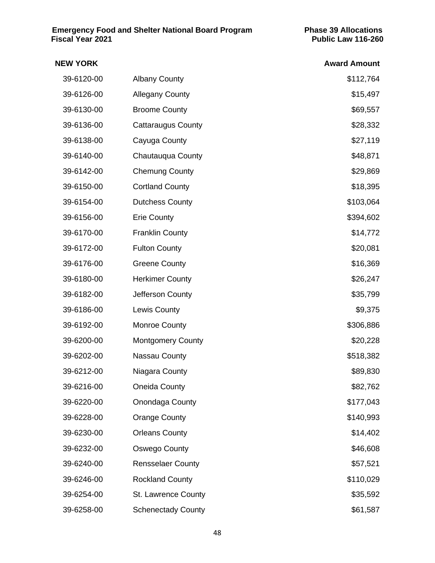# **NEW YORK Award Amount** 39-6120-00 Albany County \$112,764 39-6126-00 Allegany County **1996** Allegany County 39-6130-00 Broome County **\$69,557** 39-6136-00 Cattaraugus County **\$28,332** 39-6138-00 Cayuga County **\$27,119** 39-6140-00 Chautauqua County **\$48,871** 39-6142-00 Chemung County **600 County 199-6142-00** \$29,869 39-6150-00 Cortland County **\$18,395** 39-6154-00 Dutchess County **\$103,064** 39-6156-00 Erie County **Example 20 and 20 and 39-6156-00** \$394,602 39-6170-00 Franklin County **614,772** 39-6172-00 Fulton County **\$20,081** 39-6176-00 Greene County **39-6176-00** \$16,369 39-6180-00 Herkimer County **1990 120 Herkimer County** 1990 120 MHz 126,247 39-6182-00 Jefferson County \$35,799 39-6186-00 Lewis County \$9,375 39-6192-00 Monroe County **\$306,886** 39-6200-00 Montgomery County **1990-100 Montgomery County** 1990-0228 39-6202-00 Nassau County **1990 Nassau County** 1990 Nassau 2010 Nassau 2010 Nassau 2010 Nassau 2010 Nassau 2010 39-6212-00 Niagara County **\$89,830** 39-6216-00 Oneida County **\$82,762** 39-6220-00 Onondaga County **6177,043** 39-6228-00 Orange County **\$140,993** 39-6230-00 Orleans County \$14,402 39-6232-00 Oswego County \$46,608 39-6240-00 Rensselaer County **\$57,521** 39-6246-00 Rockland County **\$110,029** 39-6254-00 St. Lawrence County **\$35,592** 39-6258-00 Schenectady County **1999 Servers 100 Servers 100 Servers 100 Servers 100 Servers 100 Servers 100 Se**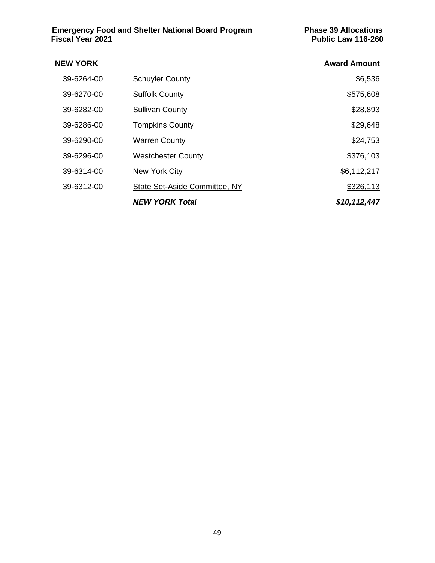| <b>NEW YORK</b> |                               | <b>Award Amount</b> |
|-----------------|-------------------------------|---------------------|
| 39-6264-00      | <b>Schuyler County</b>        | \$6,536             |
| 39-6270-00      | <b>Suffolk County</b>         | \$575,608           |
| 39-6282-00      | <b>Sullivan County</b>        | \$28,893            |
| 39-6286-00      | <b>Tompkins County</b>        | \$29,648            |
| 39-6290-00      | <b>Warren County</b>          | \$24,753            |
| 39-6296-00      | <b>Westchester County</b>     | \$376,103           |
| 39-6314-00      | New York City                 | \$6,112,217         |
| 39-6312-00      | State Set-Aside Committee, NY | \$326,113           |
|                 | <b>NEW YORK Total</b>         | \$10, 112, 447      |
|                 |                               |                     |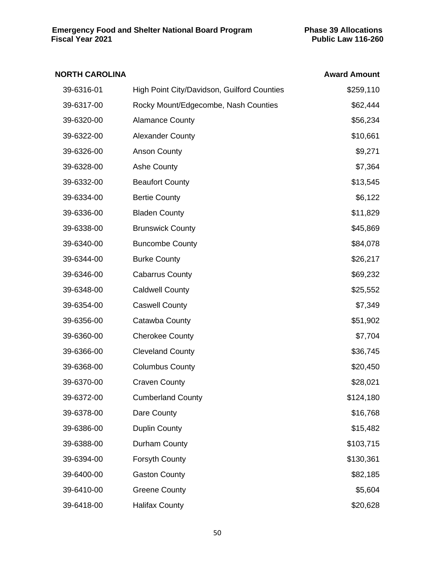# **NORTH CAROLINA Award Amount** 39-6316-01 High Point City/Davidson, Guilford Counties \$259,110 39-6317-00 Rocky Mount/Edgecombe, Nash Counties \$62,444 39-6320-00 Alamance County **Alamance County 39-6320-00** \$56,234 39-6322-00 Alexander County **\$10,661** 39-6326-00 Anson County **\$9,271** 39-6328-00 Ashe County **Ashe County 1996** Ashe County **1996** Ashe Round **\$7,364** 39-6332-00 Beaufort County **Beaufort County 13,545** 39-6334-00 Bertie County **39-6334-00** \$6,122 39-6336-00 Bladen County **\$11,829** 39-6338-00 Brunswick County **\$45,869** 39-6340-00 Buncombe County **684,078** 39-6344-00 Burke County **1996** Burke County **\$26,217** 39-6346-00 Cabarrus County **69,232** 39-6348-00 Caldwell County **\$25,552** 39-6354-00 Caswell County \$7,349 39-6356-00 Catawba County **\$51,902** 39-6360-00 Cherokee County \$7,704 39-6366-00 Cleveland County **\$36,745** 39-6368-00 Columbus County **\$20,450** 39-6370-00 Craven County **39-6370-00** \$28,021 39-6372-00 Cumberland County **\$124,180** 39-6378-00 Dare County **1996** Days 2016,768 39-6386-00 Duplin County **\$15,482** 39-6388-00 Durham County **\$103,715** 39-6394-00 Forsyth County **1200 Forsyth County 130,361** 39-6400-00 Gaston County \$82,185 39-6410-00 Greene County **\$5,604** 39-6418-00 Halifax County **1996** Halifax County **1996** Halifax 1996 Halifax 1996 Halifax 1996 Halifax 1996 Halifax 1996

#### 50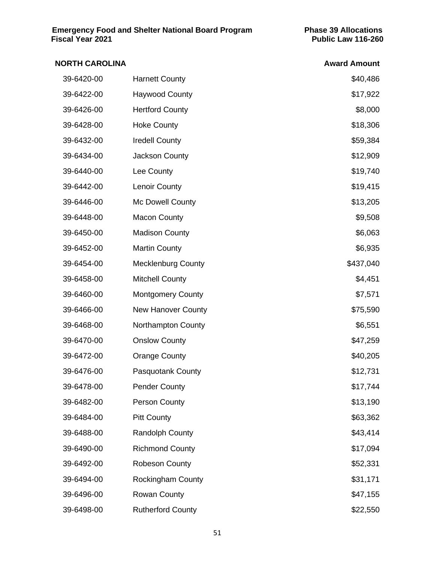| <b>NORTH CAROLINA</b> |                           | <b>Award Amount</b> |
|-----------------------|---------------------------|---------------------|
| 39-6420-00            | <b>Harnett County</b>     | \$40,486            |
| 39-6422-00            | <b>Haywood County</b>     | \$17,922            |
| 39-6426-00            | <b>Hertford County</b>    | \$8,000             |
| 39-6428-00            | <b>Hoke County</b>        | \$18,306            |
| 39-6432-00            | <b>Iredell County</b>     | \$59,384            |
| 39-6434-00            | Jackson County            | \$12,909            |
| 39-6440-00            | Lee County                | \$19,740            |
| 39-6442-00            | Lenoir County             | \$19,415            |
| 39-6446-00            | Mc Dowell County          | \$13,205            |
| 39-6448-00            | <b>Macon County</b>       | \$9,508             |
| 39-6450-00            | <b>Madison County</b>     | \$6,063             |
| 39-6452-00            | <b>Martin County</b>      | \$6,935             |
| 39-6454-00            | <b>Mecklenburg County</b> | \$437,040           |
| 39-6458-00            | <b>Mitchell County</b>    | \$4,451             |
| 39-6460-00            | <b>Montgomery County</b>  | \$7,571             |
| 39-6466-00            | <b>New Hanover County</b> | \$75,590            |
| 39-6468-00            | Northampton County        | \$6,551             |
| 39-6470-00            | <b>Onslow County</b>      | \$47,259            |
| 39-6472-00            | <b>Orange County</b>      | \$40,205            |
| 39-6476-00            | <b>Pasquotank County</b>  | \$12,731            |
| 39-6478-00            | <b>Pender County</b>      | \$17,744            |
| 39-6482-00            | <b>Person County</b>      | \$13,190            |
| 39-6484-00            | <b>Pitt County</b>        | \$63,362            |
| 39-6488-00            | <b>Randolph County</b>    | \$43,414            |
| 39-6490-00            | <b>Richmond County</b>    | \$17,094            |
| 39-6492-00            | Robeson County            | \$52,331            |
| 39-6494-00            | <b>Rockingham County</b>  | \$31,171            |
| 39-6496-00            | <b>Rowan County</b>       | \$47,155            |
| 39-6498-00            | <b>Rutherford County</b>  | \$22,550            |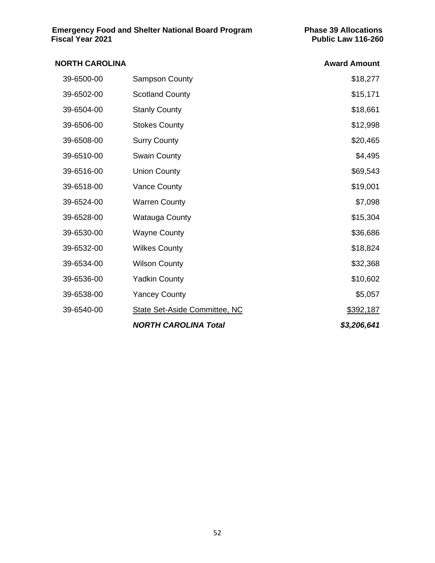| <b>NORTH CAROLINA</b> |                               | <b>Award Amount</b> |
|-----------------------|-------------------------------|---------------------|
| 39-6500-00            | <b>Sampson County</b>         | \$18,277            |
| 39-6502-00            | <b>Scotland County</b>        | \$15,171            |
| 39-6504-00            | <b>Stanly County</b>          | \$18,661            |
| 39-6506-00            | <b>Stokes County</b>          | \$12,998            |
| 39-6508-00            | <b>Surry County</b>           | \$20,465            |
| 39-6510-00            | <b>Swain County</b>           | \$4,495             |
| 39-6516-00            | <b>Union County</b>           | \$69,543            |
| 39-6518-00            | <b>Vance County</b>           | \$19,001            |
| 39-6524-00            | <b>Warren County</b>          | \$7,098             |
| 39-6528-00            | Watauga County                | \$15,304            |
| 39-6530-00            | <b>Wayne County</b>           | \$36,686            |
| 39-6532-00            | <b>Wilkes County</b>          | \$18,824            |
| 39-6534-00            | <b>Wilson County</b>          | \$32,368            |
| 39-6536-00            | <b>Yadkin County</b>          | \$10,602            |
| 39-6538-00            | <b>Yancey County</b>          | \$5,057             |
| 39-6540-00            | State Set-Aside Committee, NC | \$392,187           |
|                       | <b>NORTH CAROLINA Total</b>   | \$3,206,641         |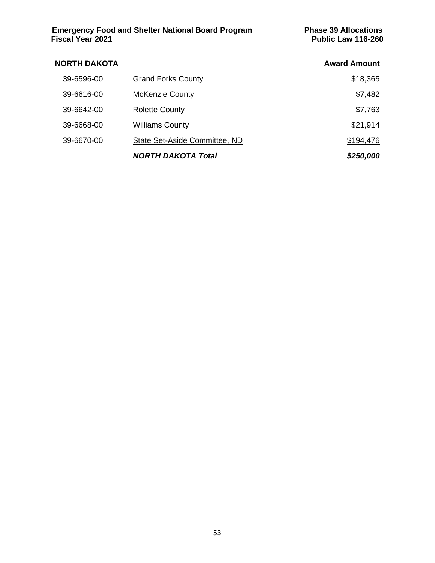| <b>Emergency Food and Shelter National Board Program</b> |  |  |
|----------------------------------------------------------|--|--|
| Fiscal Year 2021                                         |  |  |

| <b>NORTH DAKOTA</b> |                               | <b>Award Amount</b> |
|---------------------|-------------------------------|---------------------|
| 39-6596-00          | <b>Grand Forks County</b>     | \$18,365            |
| 39-6616-00          | <b>McKenzie County</b>        | \$7,482             |
| 39-6642-00          | <b>Rolette County</b>         | \$7,763             |
| 39-6668-00          | <b>Williams County</b>        | \$21,914            |
| 39-6670-00          | State Set-Aside Committee, ND | \$194,476           |
|                     | <b>NORTH DAKOTA Total</b>     | \$250,000           |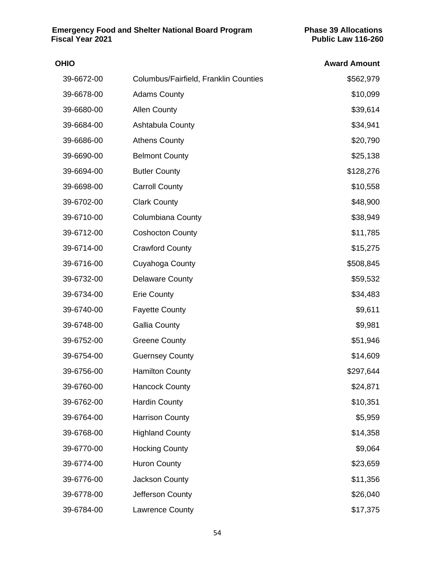| <b>OHIO</b> |                                       | <b>Award Amount</b> |
|-------------|---------------------------------------|---------------------|
| 39-6672-00  | Columbus/Fairfield, Franklin Counties | \$562,979           |
| 39-6678-00  | <b>Adams County</b>                   | \$10,099            |
| 39-6680-00  | <b>Allen County</b>                   | \$39,614            |
| 39-6684-00  | Ashtabula County                      | \$34,941            |
| 39-6686-00  | <b>Athens County</b>                  | \$20,790            |
| 39-6690-00  | <b>Belmont County</b>                 | \$25,138            |
| 39-6694-00  | <b>Butler County</b>                  | \$128,276           |
| 39-6698-00  | <b>Carroll County</b>                 | \$10,558            |
| 39-6702-00  | <b>Clark County</b>                   | \$48,900            |
| 39-6710-00  | <b>Columbiana County</b>              | \$38,949            |
| 39-6712-00  | <b>Coshocton County</b>               | \$11,785            |
| 39-6714-00  | <b>Crawford County</b>                | \$15,275            |
| 39-6716-00  | Cuyahoga County                       | \$508,845           |
| 39-6732-00  | <b>Delaware County</b>                | \$59,532            |
| 39-6734-00  | <b>Erie County</b>                    | \$34,483            |
| 39-6740-00  | <b>Fayette County</b>                 | \$9,611             |
| 39-6748-00  | <b>Gallia County</b>                  | \$9,981             |
| 39-6752-00  | <b>Greene County</b>                  | \$51,946            |
| 39-6754-00  | <b>Guernsey County</b>                | \$14,609            |
| 39-6756-00  | <b>Hamilton County</b>                | \$297,644           |
| 39-6760-00  | <b>Hancock County</b>                 | \$24,871            |
| 39-6762-00  | <b>Hardin County</b>                  | \$10,351            |
| 39-6764-00  | <b>Harrison County</b>                | \$5,959             |
| 39-6768-00  | <b>Highland County</b>                | \$14,358            |
| 39-6770-00  | <b>Hocking County</b>                 | \$9,064             |
| 39-6774-00  | <b>Huron County</b>                   | \$23,659            |
| 39-6776-00  | Jackson County                        | \$11,356            |
| 39-6778-00  | Jefferson County                      | \$26,040            |
| 39-6784-00  | <b>Lawrence County</b>                | \$17,375            |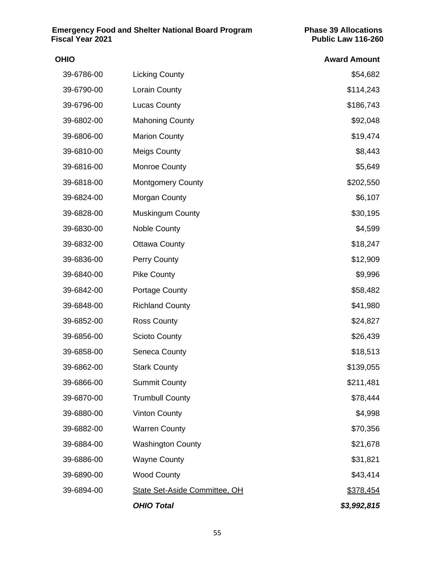| OHIO       |                                      | <b>Award Amount</b> |
|------------|--------------------------------------|---------------------|
| 39-6786-00 | <b>Licking County</b>                | \$54,682            |
| 39-6790-00 | Lorain County                        | \$114,243           |
| 39-6796-00 | <b>Lucas County</b>                  | \$186,743           |
| 39-6802-00 | <b>Mahoning County</b>               | \$92,048            |
| 39-6806-00 | <b>Marion County</b>                 | \$19,474            |
| 39-6810-00 | <b>Meigs County</b>                  | \$8,443             |
| 39-6816-00 | <b>Monroe County</b>                 | \$5,649             |
| 39-6818-00 | <b>Montgomery County</b>             | \$202,550           |
| 39-6824-00 | Morgan County                        | \$6,107             |
| 39-6828-00 | <b>Muskingum County</b>              | \$30,195            |
| 39-6830-00 | <b>Noble County</b>                  | \$4,599             |
| 39-6832-00 | <b>Ottawa County</b>                 | \$18,247            |
| 39-6836-00 | <b>Perry County</b>                  | \$12,909            |
| 39-6840-00 | <b>Pike County</b>                   | \$9,996             |
| 39-6842-00 | Portage County                       | \$58,482            |
| 39-6848-00 | <b>Richland County</b>               | \$41,980            |
| 39-6852-00 | <b>Ross County</b>                   | \$24,827            |
| 39-6856-00 | <b>Scioto County</b>                 | \$26,439            |
| 39-6858-00 | Seneca County                        | \$18,513            |
| 39-6862-00 | <b>Stark County</b>                  | \$139,055           |
| 39-6866-00 | <b>Summit County</b>                 | \$211,481           |
| 39-6870-00 | <b>Trumbull County</b>               | \$78,444            |
| 39-6880-00 | <b>Vinton County</b>                 | \$4,998             |
| 39-6882-00 | <b>Warren County</b>                 | \$70,356            |
| 39-6884-00 | <b>Washington County</b>             | \$21,678            |
| 39-6886-00 | <b>Wayne County</b>                  | \$31,821            |
| 39-6890-00 | <b>Wood County</b>                   | \$43,414            |
| 39-6894-00 | <b>State Set-Aside Committee, OH</b> | \$378,454           |
|            | <b>OHIO Total</b>                    | \$3,992,815         |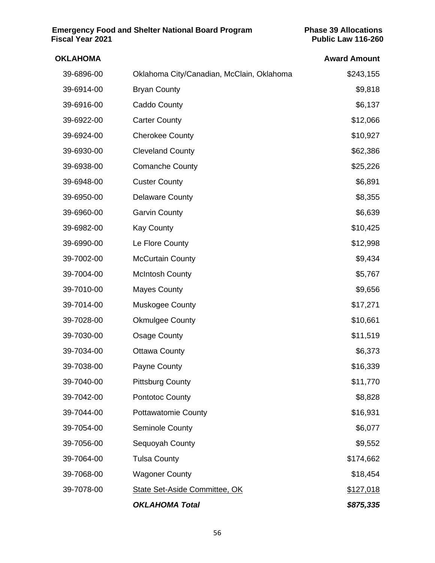| <b>OKLAHOMA</b> |                                           | <b>Award Amount</b> |
|-----------------|-------------------------------------------|---------------------|
| 39-6896-00      | Oklahoma City/Canadian, McClain, Oklahoma | \$243,155           |
| 39-6914-00      | <b>Bryan County</b>                       | \$9,818             |
| 39-6916-00      | Caddo County                              | \$6,137             |
| 39-6922-00      | <b>Carter County</b>                      | \$12,066            |
| 39-6924-00      | <b>Cherokee County</b>                    | \$10,927            |
| 39-6930-00      | <b>Cleveland County</b>                   | \$62,386            |
| 39-6938-00      | <b>Comanche County</b>                    | \$25,226            |
| 39-6948-00      | <b>Custer County</b>                      | \$6,891             |
| 39-6950-00      | <b>Delaware County</b>                    | \$8,355             |
| 39-6960-00      | <b>Garvin County</b>                      | \$6,639             |
| 39-6982-00      | <b>Kay County</b>                         | \$10,425            |
| 39-6990-00      | Le Flore County                           | \$12,998            |
| 39-7002-00      | <b>McCurtain County</b>                   | \$9,434             |
| 39-7004-00      | <b>McIntosh County</b>                    | \$5,767             |
| 39-7010-00      | <b>Mayes County</b>                       | \$9,656             |
| 39-7014-00      | <b>Muskogee County</b>                    | \$17,271            |
| 39-7028-00      | <b>Okmulgee County</b>                    | \$10,661            |
| 39-7030-00      | <b>Osage County</b>                       | \$11,519            |
| 39-7034-00      | <b>Ottawa County</b>                      | \$6,373             |
| 39-7038-00      | Payne County                              | \$16,339            |
| 39-7040-00      | <b>Pittsburg County</b>                   | \$11,770            |
| 39-7042-00      | <b>Pontotoc County</b>                    | \$8,828             |
| 39-7044-00      | <b>Pottawatomie County</b>                | \$16,931            |
| 39-7054-00      | Seminole County                           | \$6,077             |
| 39-7056-00      | Sequoyah County                           | \$9,552             |
| 39-7064-00      | <b>Tulsa County</b>                       | \$174,662           |
| 39-7068-00      | <b>Wagoner County</b>                     | \$18,454            |
| 39-7078-00      | State Set-Aside Committee, OK             | \$127,018           |
|                 | <b>OKLAHOMA Total</b>                     | \$875,335           |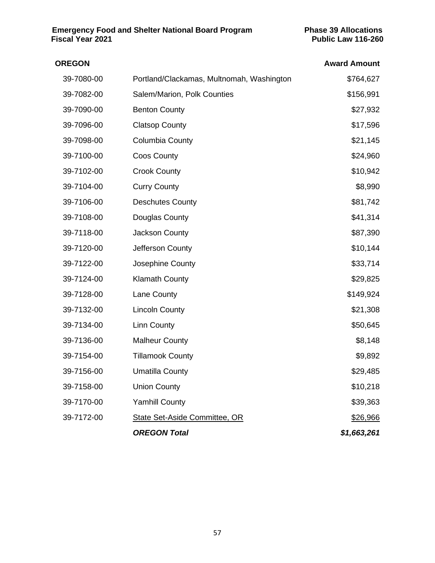| <b>OREGON</b> |                                           | <b>Award Amount</b> |
|---------------|-------------------------------------------|---------------------|
| 39-7080-00    | Portland/Clackamas, Multnomah, Washington | \$764,627           |
| 39-7082-00    | Salem/Marion, Polk Counties               | \$156,991           |
| 39-7090-00    | <b>Benton County</b>                      | \$27,932            |
| 39-7096-00    | <b>Clatsop County</b>                     | \$17,596            |
| 39-7098-00    | <b>Columbia County</b>                    | \$21,145            |
| 39-7100-00    | <b>Coos County</b>                        | \$24,960            |
| 39-7102-00    | <b>Crook County</b>                       | \$10,942            |
| 39-7104-00    | <b>Curry County</b>                       | \$8,990             |
| 39-7106-00    | <b>Deschutes County</b>                   | \$81,742            |
| 39-7108-00    | Douglas County                            | \$41,314            |
| 39-7118-00    | Jackson County                            | \$87,390            |
| 39-7120-00    | Jefferson County                          | \$10,144            |
| 39-7122-00    | Josephine County                          | \$33,714            |
| 39-7124-00    | <b>Klamath County</b>                     | \$29,825            |
| 39-7128-00    | Lane County                               | \$149,924           |
| 39-7132-00    | <b>Lincoln County</b>                     | \$21,308            |
| 39-7134-00    | <b>Linn County</b>                        | \$50,645            |
| 39-7136-00    | <b>Malheur County</b>                     | \$8,148             |
| 39-7154-00    | <b>Tillamook County</b>                   | \$9,892             |
| 39-7156-00    | <b>Umatilla County</b>                    | \$29,485            |
| 39-7158-00    | <b>Union County</b>                       | \$10,218            |
| 39-7170-00    | <b>Yamhill County</b>                     | \$39,363            |
| 39-7172-00    | State Set-Aside Committee, OR             | \$26,966            |
|               | <b>OREGON Total</b>                       | \$1,663,261         |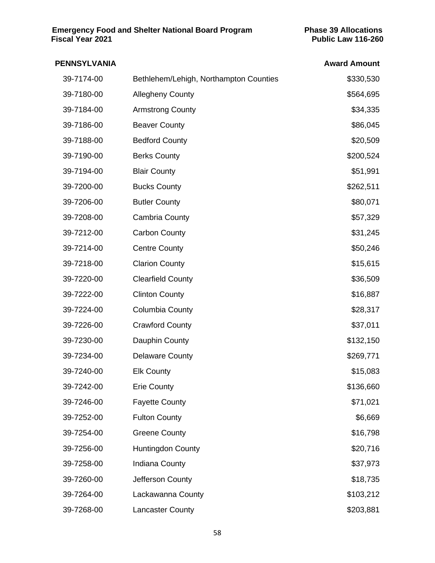| <b>PENNSYLVANIA</b> |                                        | <b>Award Amount</b> |
|---------------------|----------------------------------------|---------------------|
| 39-7174-00          | Bethlehem/Lehigh, Northampton Counties | \$330,530           |
| 39-7180-00          | <b>Allegheny County</b>                | \$564,695           |
| 39-7184-00          | <b>Armstrong County</b>                | \$34,335            |
| 39-7186-00          | <b>Beaver County</b>                   | \$86,045            |
| 39-7188-00          | <b>Bedford County</b>                  | \$20,509            |
| 39-7190-00          | <b>Berks County</b>                    | \$200,524           |
| 39-7194-00          | <b>Blair County</b>                    | \$51,991            |
| 39-7200-00          | <b>Bucks County</b>                    | \$262,511           |
| 39-7206-00          | <b>Butler County</b>                   | \$80,071            |
| 39-7208-00          | <b>Cambria County</b>                  | \$57,329            |
| 39-7212-00          | <b>Carbon County</b>                   | \$31,245            |
| 39-7214-00          | <b>Centre County</b>                   | \$50,246            |
| 39-7218-00          | <b>Clarion County</b>                  | \$15,615            |
| 39-7220-00          | <b>Clearfield County</b>               | \$36,509            |
| 39-7222-00          | <b>Clinton County</b>                  | \$16,887            |
| 39-7224-00          | <b>Columbia County</b>                 | \$28,317            |
| 39-7226-00          | <b>Crawford County</b>                 | \$37,011            |
| 39-7230-00          | Dauphin County                         | \$132,150           |
| 39-7234-00          | <b>Delaware County</b>                 | \$269,771           |
| 39-7240-00          | <b>Elk County</b>                      | \$15,083            |
| 39-7242-00          | <b>Erie County</b>                     | \$136,660           |
| 39-7246-00          | <b>Fayette County</b>                  | \$71,021            |
| 39-7252-00          | <b>Fulton County</b>                   | \$6,669             |
| 39-7254-00          | <b>Greene County</b>                   | \$16,798            |
| 39-7256-00          | <b>Huntingdon County</b>               | \$20,716            |
| 39-7258-00          | Indiana County                         | \$37,973            |
| 39-7260-00          | Jefferson County                       | \$18,735            |
| 39-7264-00          | Lackawanna County                      | \$103,212           |
| 39-7268-00          | <b>Lancaster County</b>                | \$203,881           |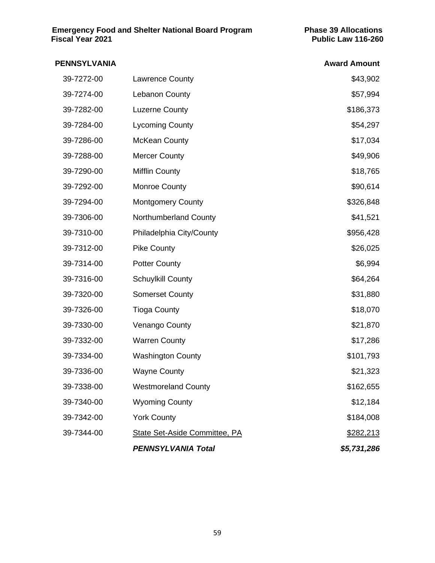| <b>PENNSYLVANIA</b> |                                      | <b>Award Amount</b> |
|---------------------|--------------------------------------|---------------------|
| 39-7272-00          | <b>Lawrence County</b>               | \$43,902            |
| 39-7274-00          | <b>Lebanon County</b>                | \$57,994            |
| 39-7282-00          | <b>Luzerne County</b>                | \$186,373           |
| 39-7284-00          | <b>Lycoming County</b>               | \$54,297            |
| 39-7286-00          | <b>McKean County</b>                 | \$17,034            |
| 39-7288-00          | <b>Mercer County</b>                 | \$49,906            |
| 39-7290-00          | <b>Mifflin County</b>                | \$18,765            |
| 39-7292-00          | Monroe County                        | \$90,614            |
| 39-7294-00          | <b>Montgomery County</b>             | \$326,848           |
| 39-7306-00          | Northumberland County                | \$41,521            |
| 39-7310-00          | Philadelphia City/County             | \$956,428           |
| 39-7312-00          | <b>Pike County</b>                   | \$26,025            |
| 39-7314-00          | <b>Potter County</b>                 | \$6,994             |
| 39-7316-00          | Schuylkill County                    | \$64,264            |
| 39-7320-00          | <b>Somerset County</b>               | \$31,880            |
| 39-7326-00          | <b>Tioga County</b>                  | \$18,070            |
| 39-7330-00          | Venango County                       | \$21,870            |
| 39-7332-00          | <b>Warren County</b>                 | \$17,286            |
| 39-7334-00          | <b>Washington County</b>             | \$101,793           |
| 39-7336-00          | <b>Wayne County</b>                  | \$21,323            |
| 39-7338-00          | <b>Westmoreland County</b>           | \$162,655           |
| 39-7340-00          | <b>Wyoming County</b>                | \$12,184            |
| 39-7342-00          | <b>York County</b>                   | \$184,008           |
| 39-7344-00          | <b>State Set-Aside Committee, PA</b> | \$282,213           |
|                     | <b>PENNSYLVANIA Total</b>            | \$5,731,286         |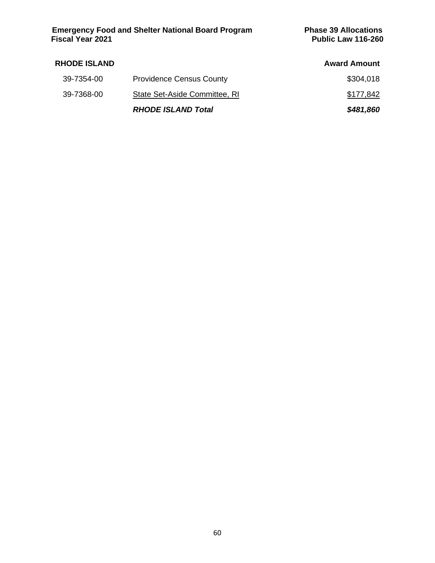| <b>RHODE ISLAND</b> |                                 | <b>Award Amount</b> |
|---------------------|---------------------------------|---------------------|
| 39-7354-00          | <b>Providence Census County</b> | \$304,018           |
| 39-7368-00          | State Set-Aside Committee, RI   | \$177,842           |
|                     | <b>RHODE ISLAND Total</b>       | \$481,860           |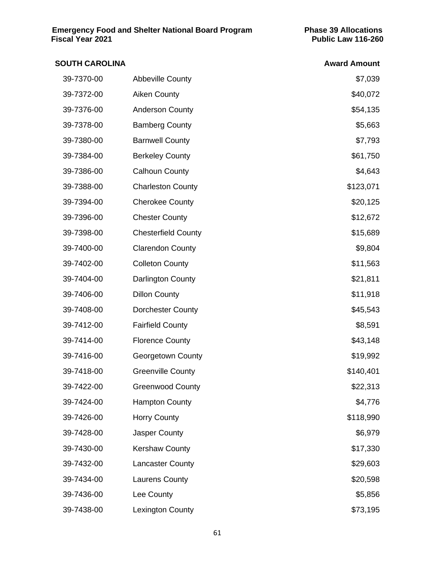| <b>SOUTH CAROLINA</b> |                            | <b>Award Amount</b> |
|-----------------------|----------------------------|---------------------|
| 39-7370-00            | <b>Abbeville County</b>    | \$7,039             |
| 39-7372-00            | <b>Aiken County</b>        | \$40,072            |
| 39-7376-00            | <b>Anderson County</b>     | \$54,135            |
| 39-7378-00            | <b>Bamberg County</b>      | \$5,663             |
| 39-7380-00            | <b>Barnwell County</b>     | \$7,793             |
| 39-7384-00            | <b>Berkeley County</b>     | \$61,750            |
| 39-7386-00            | <b>Calhoun County</b>      | \$4,643             |
| 39-7388-00            | <b>Charleston County</b>   | \$123,071           |
| 39-7394-00            | <b>Cherokee County</b>     | \$20,125            |
| 39-7396-00            | <b>Chester County</b>      | \$12,672            |
| 39-7398-00            | <b>Chesterfield County</b> | \$15,689            |
| 39-7400-00            | <b>Clarendon County</b>    | \$9,804             |
| 39-7402-00            | <b>Colleton County</b>     | \$11,563            |
| 39-7404-00            | Darlington County          | \$21,811            |
| 39-7406-00            | <b>Dillon County</b>       | \$11,918            |
| 39-7408-00            | <b>Dorchester County</b>   | \$45,543            |
| 39-7412-00            | <b>Fairfield County</b>    | \$8,591             |
| 39-7414-00            | <b>Florence County</b>     | \$43,148            |
| 39-7416-00            | <b>Georgetown County</b>   | \$19,992            |
| 39-7418-00            | <b>Greenville County</b>   | \$140,401           |
| 39-7422-00            | <b>Greenwood County</b>    | \$22,313            |
| 39-7424-00            | <b>Hampton County</b>      | \$4,776             |
| 39-7426-00            | <b>Horry County</b>        | \$118,990           |
| 39-7428-00            | Jasper County              | \$6,979             |
| 39-7430-00            | <b>Kershaw County</b>      | \$17,330            |
| 39-7432-00            | <b>Lancaster County</b>    | \$29,603            |
| 39-7434-00            | <b>Laurens County</b>      | \$20,598            |
| 39-7436-00            | Lee County                 | \$5,856             |
| 39-7438-00            | <b>Lexington County</b>    | \$73,195            |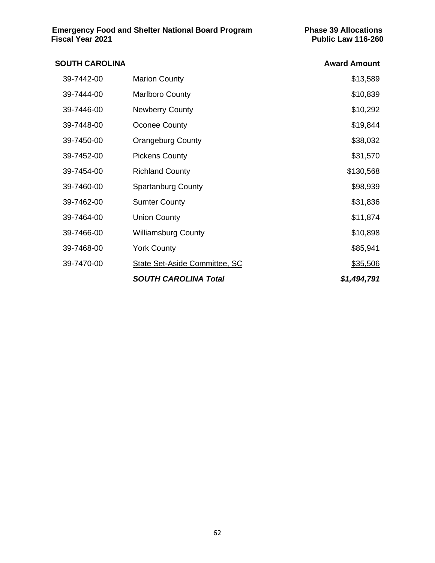# **SOUTH CAROLINA Award Amount** 39-7442-00 Marion County **\$13,589** 39-7444-00 Marlboro County **\$10,839** 39-7446-00 Newberry County \$10,292 39-7448-00 Oconee County \$19,844 39-7450-00 Orangeburg County **\$38,032** 39-7452-00 Pickens County **\$31,570** 39-7454-00 Richland County **\$130,568** 39-7460-00 Spartanburg County **\$98,939** \$98,939 39-7462-00 Sumter County \$31,836 39-7464-00 Union County **39-7464-00** \$11,874 39-7466-00 Williamsburg County **\$10,898** 39-7468-00 York County **\$85,941** 39-7470-00 State Set-Aside Committee, SC \$35,506 *SOUTH CAROLINA Total \$1,494,791*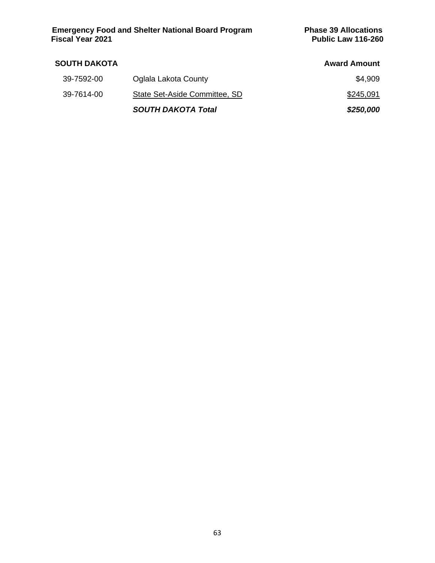| <b>SOUTH DAKOTA</b> |                               | <b>Award Amount</b> |
|---------------------|-------------------------------|---------------------|
| 39-7592-00          | Oglala Lakota County          | \$4,909             |
| 39-7614-00          | State Set-Aside Committee, SD | \$245,091           |
|                     | <b>SOUTH DAKOTA Total</b>     | \$250,000           |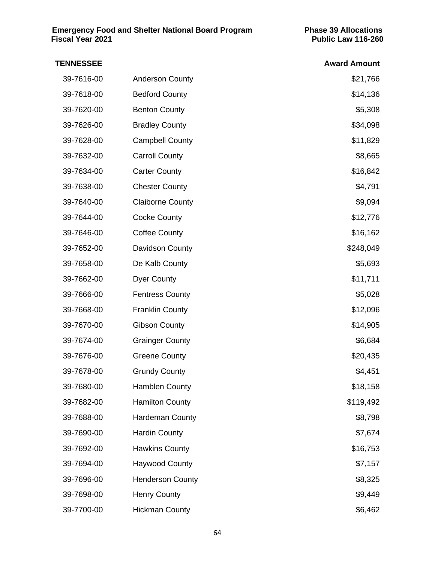# **TENNESSEE** Award Amount 39-7616-00 Anderson County **1990 120 Anderson County** 201,766 39-7618-00 Bedford County **\$14,136** 39-7620-00 Benton County **\$5,308** 39-7626-00 Bradley County **\$34,098** 39-7628-00 Campbell County **39-7628-00** \$11,829 39-7632-00 Carroll County **\$8,665** 39-7634-00 Carter County **39-7634-00** S16,842 39-7638-00 Chester County **\$4,791** 39-7640-00 Claiborne County **69,094** Claiborne County 39-7644-00 Cocke County **\$12,776** 39-7646-00 Coffee County **39-7646-00** \$16,162 39-7652-00 Davidson County **39-7652-00** \$248,049 39-7658-00 De Kalb County **1996** 1996 1997 1998 1998 1999 1998 1999 1998 1999 1998 1999 1999 1999 1999 1999 19 39-7662-00 Dyer County **by the set of the Struck Struck Struck** Struck Struck Struck Struck Struck Struck Struck 39-7666-00 Fentress County **65,028** 39-7668-00 Franklin County **\$12,096** Franklin County 39-7670-00 Gibson County **39-7670-00** \$14,905 39-7674-00 Grainger County **39-7674-00** \$6,684 39-7676-00 Greene County **\$20,435** 39-7678-00 Grundy County **39-7678-00** \$4,451 39-7680-00 Hamblen County **18.158** S18,158 39-7682-00 Hamilton County **1998** Hamilton County 39-7688-00 Hardeman County **1990 120 Hardeman County** 1990 120 MHz 168,798 39-7690-00 Hardin County \$7,674 39-7692-00 Hawkins County **1992-00 Hawkins County** 2008 12:00 12:00 13:00 14:00 15:00 16:00 16:00 16:00 16:00 16 39-7694-00 Haywood County \$7,157 39-7696-00 Henderson County **199-7696-00** \$8,325 39-7698-00 Henry County **1998-100** S9,449 39-7700-00 Hickman County **1990 Hickman** County **1990 Higgs 100 Higgs 100 Higgs 100 Higgs 100 Higgs 100 Higgs 100**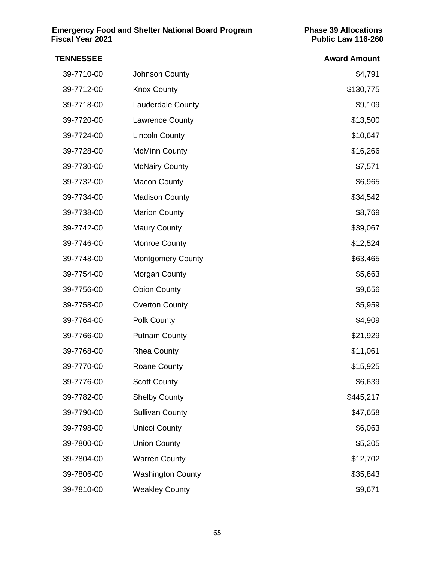| <b>TENNESSEE</b> |                          | <b>Award Amount</b> |
|------------------|--------------------------|---------------------|
| 39-7710-00       | Johnson County           | \$4,791             |
| 39-7712-00       | <b>Knox County</b>       | \$130,775           |
| 39-7718-00       | <b>Lauderdale County</b> | \$9,109             |
| 39-7720-00       | Lawrence County          | \$13,500            |
| 39-7724-00       | <b>Lincoln County</b>    | \$10,647            |
| 39-7728-00       | <b>McMinn County</b>     | \$16,266            |
| 39-7730-00       | <b>McNairy County</b>    | \$7,571             |
| 39-7732-00       | <b>Macon County</b>      | \$6,965             |
| 39-7734-00       | <b>Madison County</b>    | \$34,542            |
| 39-7738-00       | <b>Marion County</b>     | \$8,769             |
| 39-7742-00       | <b>Maury County</b>      | \$39,067            |
| 39-7746-00       | Monroe County            | \$12,524            |
| 39-7748-00       | <b>Montgomery County</b> | \$63,465            |
| 39-7754-00       | Morgan County            | \$5,663             |
| 39-7756-00       | <b>Obion County</b>      | \$9,656             |
| 39-7758-00       | <b>Overton County</b>    | \$5,959             |
| 39-7764-00       | Polk County              | \$4,909             |
| 39-7766-00       | <b>Putnam County</b>     | \$21,929            |
| 39-7768-00       | <b>Rhea County</b>       | \$11,061            |
| 39-7770-00       | Roane County             | \$15,925            |
| 39-7776-00       | <b>Scott County</b>      | \$6,639             |
| 39-7782-00       | <b>Shelby County</b>     | \$445,217           |
| 39-7790-00       | <b>Sullivan County</b>   | \$47,658            |
| 39-7798-00       | <b>Unicoi County</b>     | \$6,063             |
| 39-7800-00       | <b>Union County</b>      | \$5,205             |
| 39-7804-00       | <b>Warren County</b>     | \$12,702            |
| 39-7806-00       | <b>Washington County</b> | \$35,843            |
| 39-7810-00       | <b>Weakley County</b>    | \$9,671             |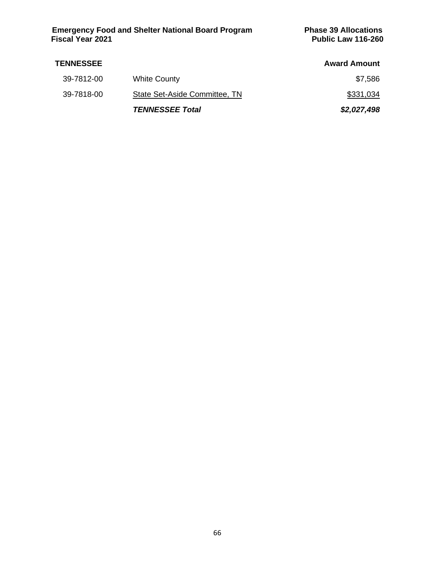| <b>TENNESSEE</b> |                               | <b>Award Amount</b> |
|------------------|-------------------------------|---------------------|
| 39-7812-00       | <b>White County</b>           | \$7,586             |
| 39-7818-00       | State Set-Aside Committee, TN | \$331,034           |
|                  | <b>TENNESSEE Total</b>        | \$2,027,498         |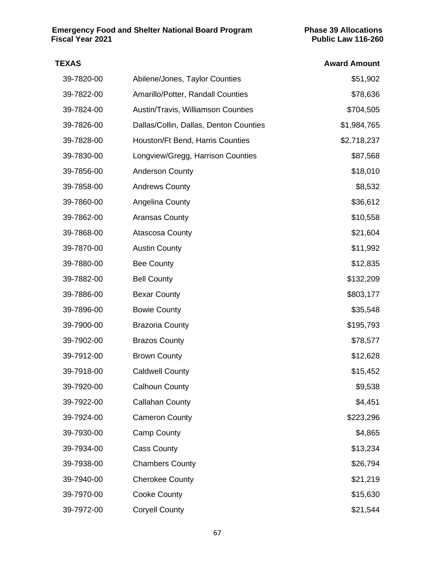#### **TEXAS Award Amount**

| 39-7820-00 | Abilene/Jones, Taylor Counties         | \$51,902    |
|------------|----------------------------------------|-------------|
| 39-7822-00 | Amarillo/Potter, Randall Counties      | \$78,636    |
| 39-7824-00 | Austin/Travis, Williamson Counties     | \$704,505   |
| 39-7826-00 | Dallas/Collin, Dallas, Denton Counties | \$1,984,765 |
| 39-7828-00 | Houston/Ft Bend, Harris Counties       | \$2,718,237 |
| 39-7830-00 | Longview/Gregg, Harrison Counties      | \$87,568    |
| 39-7856-00 | <b>Anderson County</b>                 | \$18,010    |
| 39-7858-00 | <b>Andrews County</b>                  | \$8,532     |
| 39-7860-00 | Angelina County                        | \$36,612    |
| 39-7862-00 | <b>Aransas County</b>                  | \$10,558    |
| 39-7868-00 | <b>Atascosa County</b>                 | \$21,604    |
| 39-7870-00 | <b>Austin County</b>                   | \$11,992    |
| 39-7880-00 | <b>Bee County</b>                      | \$12,835    |
| 39-7882-00 | <b>Bell County</b>                     | \$132,209   |
| 39-7886-00 | <b>Bexar County</b>                    | \$803,177   |
| 39-7896-00 | <b>Bowie County</b>                    | \$35,548    |
| 39-7900-00 | <b>Brazoria County</b>                 | \$195,793   |
| 39-7902-00 | <b>Brazos County</b>                   | \$78,577    |
| 39-7912-00 | <b>Brown County</b>                    | \$12,628    |
| 39-7918-00 | <b>Caldwell County</b>                 | \$15,452    |
| 39-7920-00 | <b>Calhoun County</b>                  | \$9,538     |
| 39-7922-00 | <b>Callahan County</b>                 | \$4,451     |
| 39-7924-00 | <b>Cameron County</b>                  | \$223,296   |
| 39-7930-00 | <b>Camp County</b>                     | \$4,865     |
| 39-7934-00 | <b>Cass County</b>                     | \$13,234    |
| 39-7938-00 | <b>Chambers County</b>                 | \$26,794    |
| 39-7940-00 | <b>Cherokee County</b>                 | \$21,219    |
| 39-7970-00 | Cooke County                           | \$15,630    |
| 39-7972-00 | <b>Coryell County</b>                  | \$21,544    |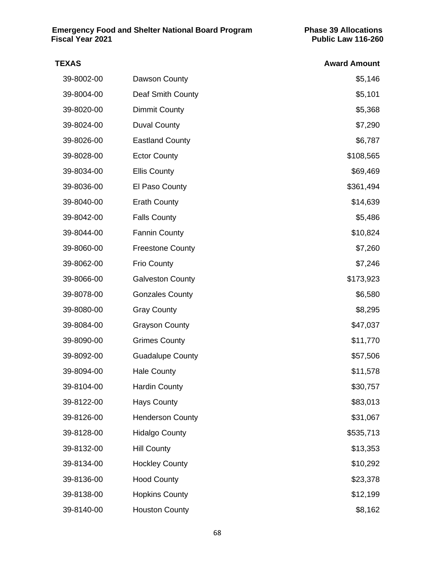| TEXAS      |                         | <b>Award Amount</b> |
|------------|-------------------------|---------------------|
| 39-8002-00 | Dawson County           | \$5,146             |
| 39-8004-00 | Deaf Smith County       | \$5,101             |
| 39-8020-00 | <b>Dimmit County</b>    | \$5,368             |
| 39-8024-00 | <b>Duval County</b>     | \$7,290             |
| 39-8026-00 | <b>Eastland County</b>  | \$6,787             |
| 39-8028-00 | <b>Ector County</b>     | \$108,565           |
| 39-8034-00 | <b>Ellis County</b>     | \$69,469            |
| 39-8036-00 | El Paso County          | \$361,494           |
| 39-8040-00 | <b>Erath County</b>     | \$14,639            |
| 39-8042-00 | <b>Falls County</b>     | \$5,486             |
| 39-8044-00 | <b>Fannin County</b>    | \$10,824            |
| 39-8060-00 | <b>Freestone County</b> | \$7,260             |
| 39-8062-00 | <b>Frio County</b>      | \$7,246             |
| 39-8066-00 | <b>Galveston County</b> | \$173,923           |
| 39-8078-00 | <b>Gonzales County</b>  | \$6,580             |
| 39-8080-00 | <b>Gray County</b>      | \$8,295             |
| 39-8084-00 | <b>Grayson County</b>   | \$47,037            |
| 39-8090-00 | <b>Grimes County</b>    | \$11,770            |
| 39-8092-00 | <b>Guadalupe County</b> | \$57,506            |
| 39-8094-00 | <b>Hale County</b>      | \$11,578            |
| 39-8104-00 | <b>Hardin County</b>    | \$30,757            |
| 39-8122-00 | <b>Hays County</b>      | \$83,013            |
| 39-8126-00 | <b>Henderson County</b> | \$31,067            |
| 39-8128-00 | <b>Hidalgo County</b>   | \$535,713           |
| 39-8132-00 | <b>Hill County</b>      | \$13,353            |
| 39-8134-00 | <b>Hockley County</b>   | \$10,292            |
| 39-8136-00 | <b>Hood County</b>      | \$23,378            |
| 39-8138-00 | <b>Hopkins County</b>   | \$12,199            |
| 39-8140-00 | <b>Houston County</b>   | \$8,162             |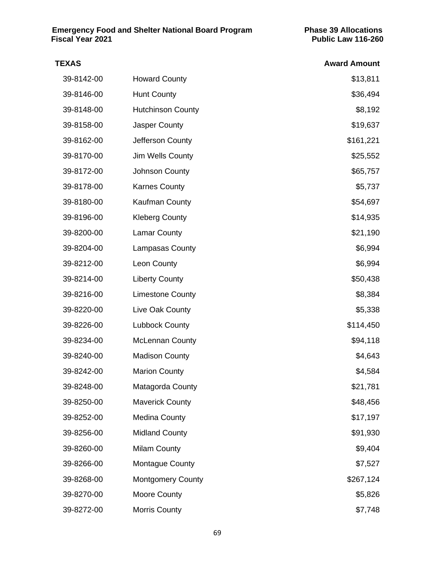| <b>TEXAS</b> |                          | <b>Award Amount</b> |
|--------------|--------------------------|---------------------|
| 39-8142-00   | <b>Howard County</b>     | \$13,811            |
| 39-8146-00   | <b>Hunt County</b>       | \$36,494            |
| 39-8148-00   | <b>Hutchinson County</b> | \$8,192             |
| 39-8158-00   | Jasper County            | \$19,637            |
| 39-8162-00   | Jefferson County         | \$161,221           |
| 39-8170-00   | Jim Wells County         | \$25,552            |
| 39-8172-00   | Johnson County           | \$65,757            |
| 39-8178-00   | <b>Karnes County</b>     | \$5,737             |
| 39-8180-00   | Kaufman County           | \$54,697            |
| 39-8196-00   | <b>Kleberg County</b>    | \$14,935            |
| 39-8200-00   | <b>Lamar County</b>      | \$21,190            |
| 39-8204-00   | <b>Lampasas County</b>   | \$6,994             |
| 39-8212-00   | Leon County              | \$6,994             |
| 39-8214-00   | <b>Liberty County</b>    | \$50,438            |
| 39-8216-00   | <b>Limestone County</b>  | \$8,384             |
| 39-8220-00   | Live Oak County          | \$5,338             |
| 39-8226-00   | <b>Lubbock County</b>    | \$114,450           |
| 39-8234-00   | <b>McLennan County</b>   | \$94,118            |
| 39-8240-00   | <b>Madison County</b>    | \$4,643             |
| 39-8242-00   | <b>Marion County</b>     | \$4,584             |
| 39-8248-00   | Matagorda County         | \$21,781            |
| 39-8250-00   | <b>Maverick County</b>   | \$48,456            |
| 39-8252-00   | <b>Medina County</b>     | \$17,197            |
| 39-8256-00   | <b>Midland County</b>    | \$91,930            |
| 39-8260-00   | <b>Milam County</b>      | \$9,404             |
| 39-8266-00   | <b>Montague County</b>   | \$7,527             |
| 39-8268-00   | <b>Montgomery County</b> | \$267,124           |
| 39-8270-00   | <b>Moore County</b>      | \$5,826             |
| 39-8272-00   | <b>Morris County</b>     | \$7,748             |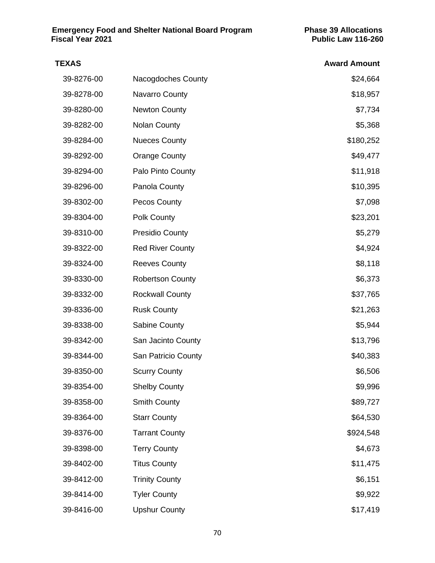| <b>TEXAS</b> |                         | <b>Award Amount</b> |
|--------------|-------------------------|---------------------|
| 39-8276-00   | Nacogdoches County      | \$24,664            |
| 39-8278-00   | Navarro County          | \$18,957            |
| 39-8280-00   | <b>Newton County</b>    | \$7,734             |
| 39-8282-00   | <b>Nolan County</b>     | \$5,368             |
| 39-8284-00   | <b>Nueces County</b>    | \$180,252           |
| 39-8292-00   | <b>Orange County</b>    | \$49,477            |
| 39-8294-00   | Palo Pinto County       | \$11,918            |
| 39-8296-00   | Panola County           | \$10,395            |
| 39-8302-00   | Pecos County            | \$7,098             |
| 39-8304-00   | Polk County             | \$23,201            |
| 39-8310-00   | <b>Presidio County</b>  | \$5,279             |
| 39-8322-00   | <b>Red River County</b> | \$4,924             |
| 39-8324-00   | <b>Reeves County</b>    | \$8,118             |
| 39-8330-00   | <b>Robertson County</b> | \$6,373             |
| 39-8332-00   | <b>Rockwall County</b>  | \$37,765            |
| 39-8336-00   | <b>Rusk County</b>      | \$21,263            |
| 39-8338-00   | Sabine County           | \$5,944             |
| 39-8342-00   | San Jacinto County      | \$13,796            |
| 39-8344-00   | San Patricio County     | \$40,383            |
| 39-8350-00   | <b>Scurry County</b>    | \$6,506             |
| 39-8354-00   | <b>Shelby County</b>    | \$9,996             |
| 39-8358-00   | <b>Smith County</b>     | \$89,727            |
| 39-8364-00   | <b>Starr County</b>     | \$64,530            |
| 39-8376-00   | <b>Tarrant County</b>   | \$924,548           |
| 39-8398-00   | <b>Terry County</b>     | \$4,673             |
| 39-8402-00   | <b>Titus County</b>     | \$11,475            |
| 39-8412-00   | <b>Trinity County</b>   | \$6,151             |
| 39-8414-00   | <b>Tyler County</b>     | \$9,922             |
| 39-8416-00   | <b>Upshur County</b>    | \$17,419            |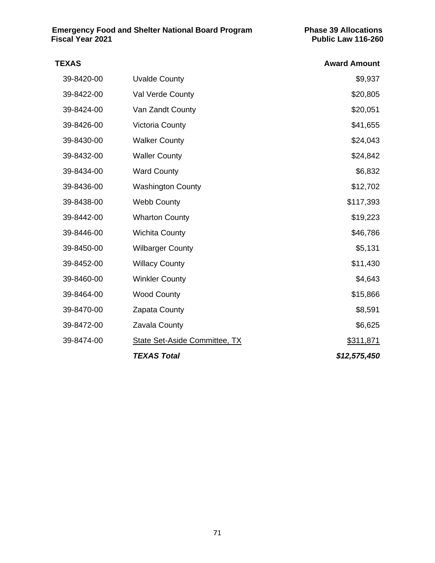# **TEXAS Award Amount** 39-8420-00 Uvalde County **\$9,937** 39-8422-00 Val Verde County **\$20,805** No. 20,805 39-8424-00 Van Zandt County **\$20,051** 39-8426-00 Victoria County **\$41,655** 39-8430-00 Walker County **\$24,043** 39-8432-00 Waller County **\$24,842** 39-8434-00 Ward County **\$6,832** 39-8436-00 Washington County **\$12,702** 39-8438-00 Webb County **\$117,393** 39-8442-00 Wharton County **\$19,223** 39-8446-00 Wichita County **\$46,786** 39-8450-00 Wilbarger County **\$5,131** 39-8452-00 Willacy County **\$11,430** 39-8460-00 Winkler County **\$4,643** 39-8464-00 Wood County **\$15,866** 39-8470-00 Zapata County 39-8470-00 \$8,591 39-8472-00 Zavala County 39-8472-00 \$6,625 39-8474-00 State Set-Aside Committee, TX \$311,871 *TEXAS Total \$12,575,450*

#### 71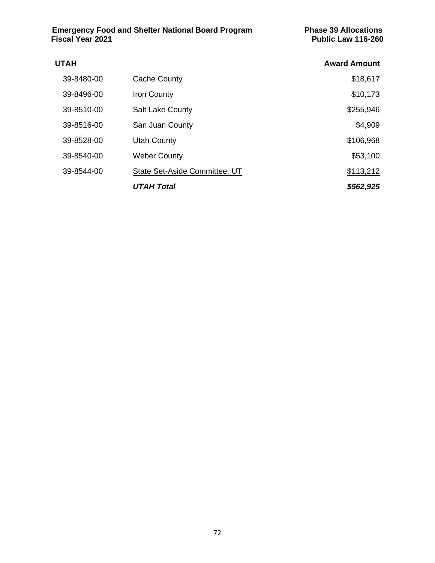| <b>UTAH</b> |                               | <b>Award Amount</b> |
|-------------|-------------------------------|---------------------|
| 39-8480-00  | Cache County                  | \$18,617            |
| 39-8496-00  | Iron County                   | \$10,173            |
| 39-8510-00  | <b>Salt Lake County</b>       | \$255,946           |
| 39-8516-00  | San Juan County               | \$4,909             |
| 39-8528-00  | <b>Utah County</b>            | \$106,968           |
| 39-8540-00  | <b>Weber County</b>           | \$53,100            |
| 39-8544-00  | State Set-Aside Committee, UT | \$113,212           |
|             | <b>UTAH Total</b>             | \$562,925           |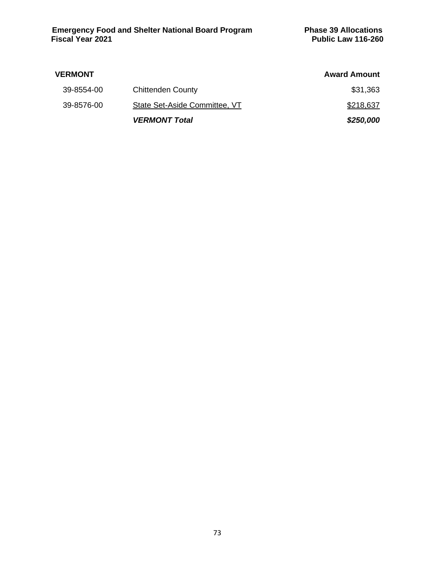| <b>VERMONT</b> |                               | <b>Award Amount</b> |
|----------------|-------------------------------|---------------------|
| 39-8554-00     | <b>Chittenden County</b>      | \$31,363            |
| 39-8576-00     | State Set-Aside Committee, VT | \$218,637           |
|                | <b>VERMONT Total</b>          | \$250,000           |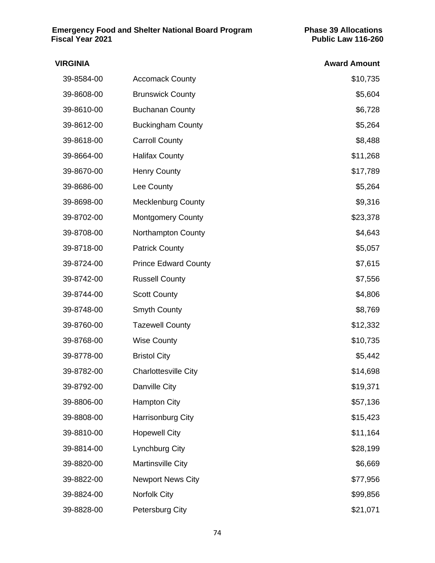| <b>VIRGINIA</b> |                             | <b>Award Amount</b> |
|-----------------|-----------------------------|---------------------|
| 39-8584-00      | <b>Accomack County</b>      | \$10,735            |
| 39-8608-00      | <b>Brunswick County</b>     | \$5,604             |
| 39-8610-00      | <b>Buchanan County</b>      | \$6,728             |
| 39-8612-00      | <b>Buckingham County</b>    | \$5,264             |
| 39-8618-00      | <b>Carroll County</b>       | \$8,488             |
| 39-8664-00      | <b>Halifax County</b>       | \$11,268            |
| 39-8670-00      | <b>Henry County</b>         | \$17,789            |
| 39-8686-00      | Lee County                  | \$5,264             |
| 39-8698-00      | <b>Mecklenburg County</b>   | \$9,316             |
| 39-8702-00      | <b>Montgomery County</b>    | \$23,378            |
| 39-8708-00      | <b>Northampton County</b>   | \$4,643             |
| 39-8718-00      | <b>Patrick County</b>       | \$5,057             |
| 39-8724-00      | <b>Prince Edward County</b> | \$7,615             |
| 39-8742-00      | <b>Russell County</b>       | \$7,556             |
| 39-8744-00      | <b>Scott County</b>         | \$4,806             |
| 39-8748-00      | <b>Smyth County</b>         | \$8,769             |
| 39-8760-00      | <b>Tazewell County</b>      | \$12,332            |
| 39-8768-00      | <b>Wise County</b>          | \$10,735            |
| 39-8778-00      | <b>Bristol City</b>         | \$5,442             |
| 39-8782-00      | <b>Charlottesville City</b> | \$14,698            |
| 39-8792-00      | Danville City               | \$19,371            |
| 39-8806-00      | <b>Hampton City</b>         | \$57,136            |
| 39-8808-00      | Harrisonburg City           | \$15,423            |
| 39-8810-00      | <b>Hopewell City</b>        | \$11,164            |
| 39-8814-00      | Lynchburg City              | \$28,199            |
| 39-8820-00      | Martinsville City           | \$6,669             |
| 39-8822-00      | <b>Newport News City</b>    | \$77,956            |
| 39-8824-00      | <b>Norfolk City</b>         | \$99,856            |
| 39-8828-00      | Petersburg City             | \$21,071            |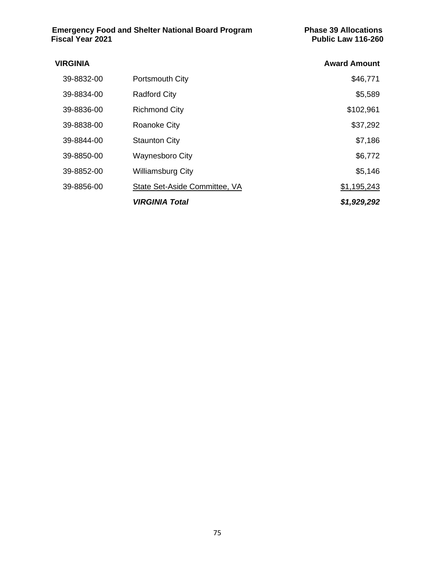| <b>VIRGINIA</b> |                               | <b>Award Amount</b> |
|-----------------|-------------------------------|---------------------|
| 39-8832-00      | Portsmouth City               | \$46,771            |
| 39-8834-00      | <b>Radford City</b>           | \$5,589             |
| 39-8836-00      | <b>Richmond City</b>          | \$102,961           |
| 39-8838-00      | Roanoke City                  | \$37,292            |
| 39-8844-00      | <b>Staunton City</b>          | \$7,186             |
| 39-8850-00      | <b>Waynesboro City</b>        | \$6,772             |
| 39-8852-00      | <b>Williamsburg City</b>      | \$5,146             |
| 39-8856-00      | State Set-Aside Committee, VA | \$1,195,243         |
|                 | <b>VIRGINIA Total</b>         | \$1,929,292         |
|                 |                               |                     |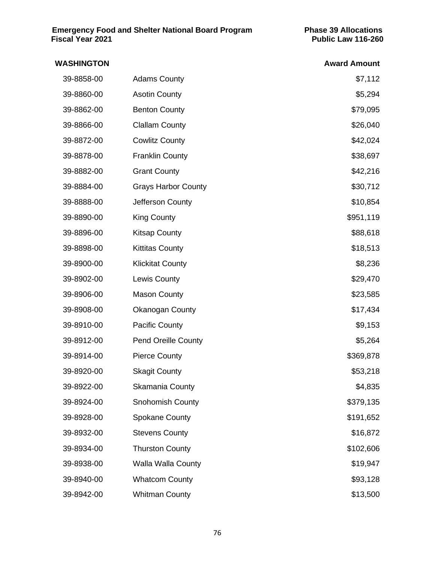## **WASHINGTON Award Amount** 39-8858-00 Adams County **1996** Adams 2001 12 39-8860-00 Asotin County **\$5,294** 39-8862-00 Benton County **\$79,095** 39-8866-00 Clallam County **\$26,040** 39-8872-00 Cowlitz County **\$42,024** 39-8878-00 Franklin County **\$38,697** 39-8882-00 Grant County **39-8882-00** \$42,216 39-8884-00 Grays Harbor County **\$30,712** 39-8888-00 Jefferson County **30-8888-00** 510,854 39-8890-00 King County **King County 199-8890-00** \$951,119 39-8896-00 Kitsap County **\$88,618** 39-8898-00 Kittitas County **618,513** 39-8900-00 Klickitat County \$8,236 39-8902-00 Lewis County **1996** Lewis County **529,470** 39-8906-00 Mason County **1996** Mason County **523,585** 39-8908-00 Okanogan County \$17,434 39-8910-00 Pacific County **1998** Pacific County **39-8910-00** S9,153 39-8912-00 Pend Oreille County **\$5,264** 39-8914-00 Pierce County **\$369,878** 39-8920-00 Skagit County **\$53,218** 39-8922-00 Skamania County **\$4,835** 39-8924-00 Snohomish County **\$379,135** 39-8928-00 Spokane County **\$191,652** 39-8932-00 Stevens County **\$16,872** 39-8934-00 Thurston County **\$102,606** 39-8938-00 Walla Walla County **\$19,947** 39-8940-00 Whatcom County **\$93,128** 39-8942-00 Whitman County **\$13,500**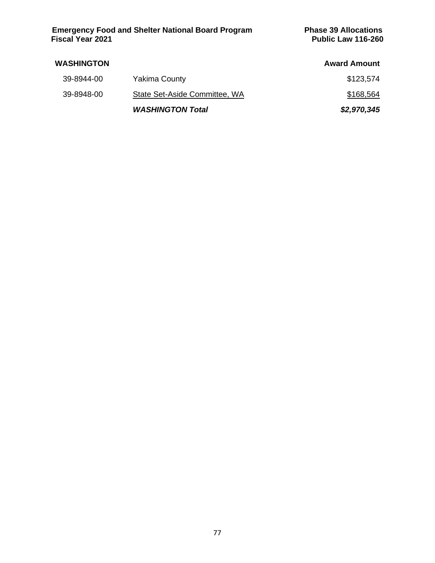**Emergency Food and Shelter National Board Program Phase 39 Allocations Fiscal Year 2021 Public Law 116-260**

| <b>WASHINGTON</b> |                               | <b>Award Amount</b> |
|-------------------|-------------------------------|---------------------|
| 39-8944-00        | <b>Yakima County</b>          | \$123,574           |
| 39-8948-00        | State Set-Aside Committee, WA | \$168,564           |
|                   | <b>WASHINGTON Total</b>       | \$2,970,345         |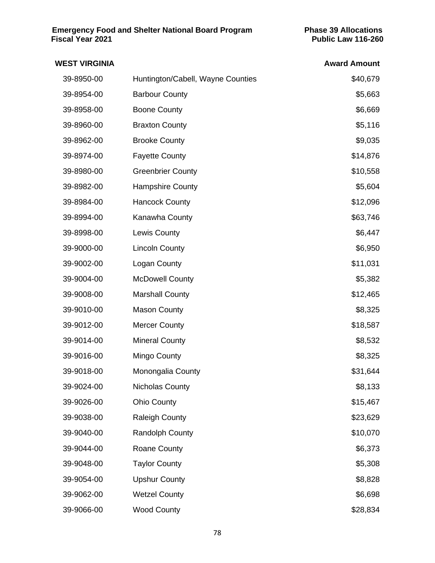| <b>WEST VIRGINIA</b> |                                   | <b>Award Amount</b> |
|----------------------|-----------------------------------|---------------------|
| 39-8950-00           | Huntington/Cabell, Wayne Counties | \$40,679            |
| 39-8954-00           | <b>Barbour County</b>             | \$5,663             |
| 39-8958-00           | <b>Boone County</b>               | \$6,669             |
| 39-8960-00           | <b>Braxton County</b>             | \$5,116             |
| 39-8962-00           | <b>Brooke County</b>              | \$9,035             |
| 39-8974-00           | <b>Fayette County</b>             | \$14,876            |
| 39-8980-00           | <b>Greenbrier County</b>          | \$10,558            |
| 39-8982-00           | Hampshire County                  | \$5,604             |
| 39-8984-00           | <b>Hancock County</b>             | \$12,096            |
| 39-8994-00           | Kanawha County                    | \$63,746            |
| 39-8998-00           | <b>Lewis County</b>               | \$6,447             |
| 39-9000-00           | <b>Lincoln County</b>             | \$6,950             |
| 39-9002-00           | Logan County                      | \$11,031            |
| 39-9004-00           | <b>McDowell County</b>            | \$5,382             |
| 39-9008-00           | <b>Marshall County</b>            | \$12,465            |
| 39-9010-00           | <b>Mason County</b>               | \$8,325             |
| 39-9012-00           | <b>Mercer County</b>              | \$18,587            |
| 39-9014-00           | <b>Mineral County</b>             | \$8,532             |
| 39-9016-00           | Mingo County                      | \$8,325             |
| 39-9018-00           | Monongalia County                 | \$31,644            |
| 39-9024-00           | <b>Nicholas County</b>            | \$8,133             |
| 39-9026-00           | <b>Ohio County</b>                | \$15,467            |
| 39-9038-00           | <b>Raleigh County</b>             | \$23,629            |
| 39-9040-00           | <b>Randolph County</b>            | \$10,070            |
| 39-9044-00           | <b>Roane County</b>               | \$6,373             |
| 39-9048-00           | <b>Taylor County</b>              | \$5,308             |
| 39-9054-00           | <b>Upshur County</b>              | \$8,828             |
| 39-9062-00           | <b>Wetzel County</b>              | \$6,698             |
| 39-9066-00           | <b>Wood County</b>                | \$28,834            |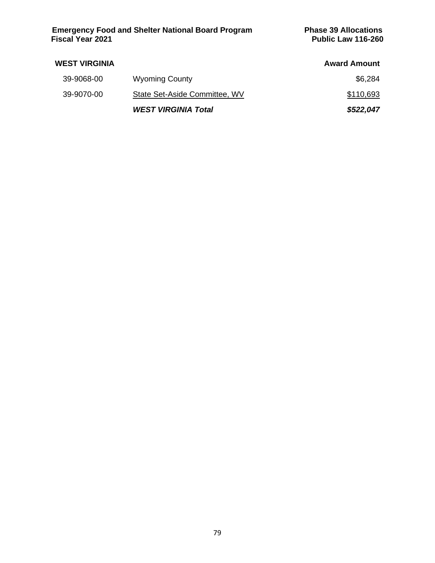**Emergency Food and Shelter National Board Program Phase 39 Allocations Fiscal Year 2021 Public Law 116-260**

| <b>WEST VIRGINIA</b> |                               | <b>Award Amount</b> |
|----------------------|-------------------------------|---------------------|
| 39-9068-00           | <b>Wyoming County</b>         | \$6,284             |
| 39-9070-00           | State Set-Aside Committee, WV | \$110,693           |
|                      | <b>WEST VIRGINIA Total</b>    | \$522,047           |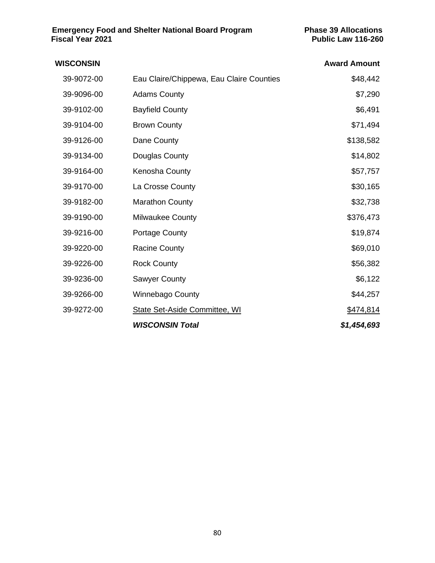| WISCONSIN  |                                          | <b>Award Amount</b> |
|------------|------------------------------------------|---------------------|
| 39-9072-00 | Eau Claire/Chippewa, Eau Claire Counties | \$48,442            |
| 39-9096-00 | <b>Adams County</b>                      | \$7,290             |
| 39-9102-00 | <b>Bayfield County</b>                   | \$6,491             |
| 39-9104-00 | <b>Brown County</b>                      | \$71,494            |
| 39-9126-00 | Dane County                              | \$138,582           |
| 39-9134-00 | Douglas County                           | \$14,802            |
| 39-9164-00 | Kenosha County                           | \$57,757            |
| 39-9170-00 | La Crosse County                         | \$30,165            |
| 39-9182-00 | <b>Marathon County</b>                   | \$32,738            |
| 39-9190-00 | Milwaukee County                         | \$376,473           |
| 39-9216-00 | Portage County                           | \$19,874            |
| 39-9220-00 | <b>Racine County</b>                     | \$69,010            |
| 39-9226-00 | <b>Rock County</b>                       | \$56,382            |
| 39-9236-00 | <b>Sawyer County</b>                     | \$6,122             |
| 39-9266-00 | <b>Winnebago County</b>                  | \$44,257            |
| 39-9272-00 | State Set-Aside Committee, WI            | \$474,814           |
|            | <b>WISCONSIN Total</b>                   | \$1,454,693         |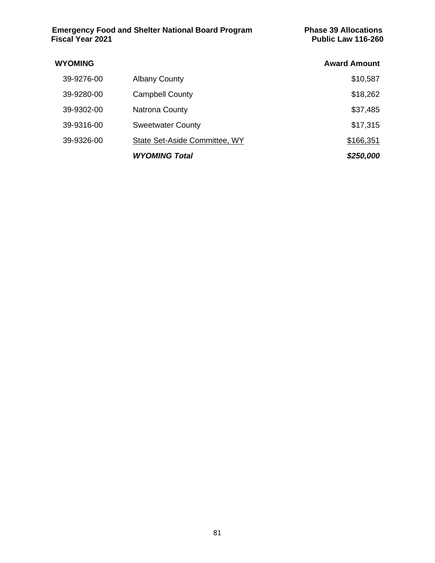| <b>WYOMING</b> |                               | <b>Award Amount</b> |
|----------------|-------------------------------|---------------------|
| 39-9276-00     | <b>Albany County</b>          | \$10,587            |
| 39-9280-00     | <b>Campbell County</b>        | \$18,262            |
| 39-9302-00     | <b>Natrona County</b>         | \$37,485            |
| 39-9316-00     | <b>Sweetwater County</b>      | \$17,315            |
| 39-9326-00     | State Set-Aside Committee, WY | \$166,351           |
|                | <b>WYOMING Total</b>          | \$250,000           |